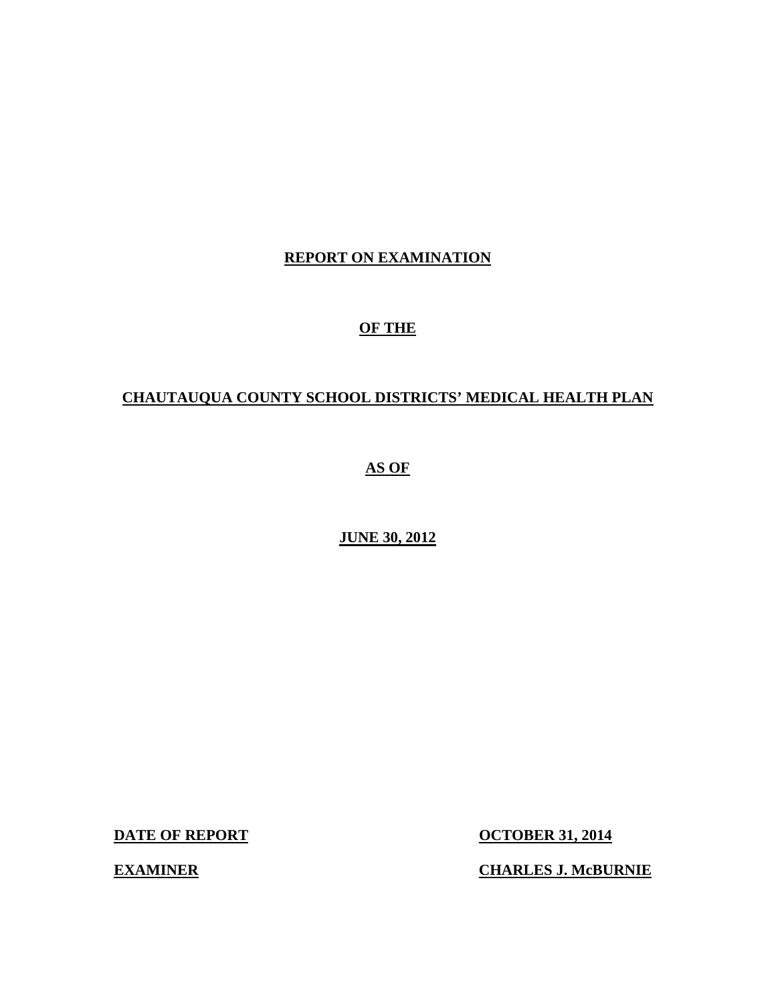# **REPORT ON EXAMINATION**

# **OF THE**

# **CHAUTAUQUA COUNTY SCHOOL DISTRICTS' MEDICAL HEALTH PLAN**

# **AS OF**

# **JUNE 30, 2012**

**DATE OF REPORT CONTRACTE OF REPORT CONTRACTE OF REPORT CONTRACTE OF A SET OF A SET OF A SET OF A SET OF A SET OF A SET OF A SET OF A SET OF A SET OF A SET OF A SET OF A SET OF A SET OF A SET OF A SET OF A SET OF A SET OF** 

**EXAMINER** 

**CHARLES J. McBURNIE**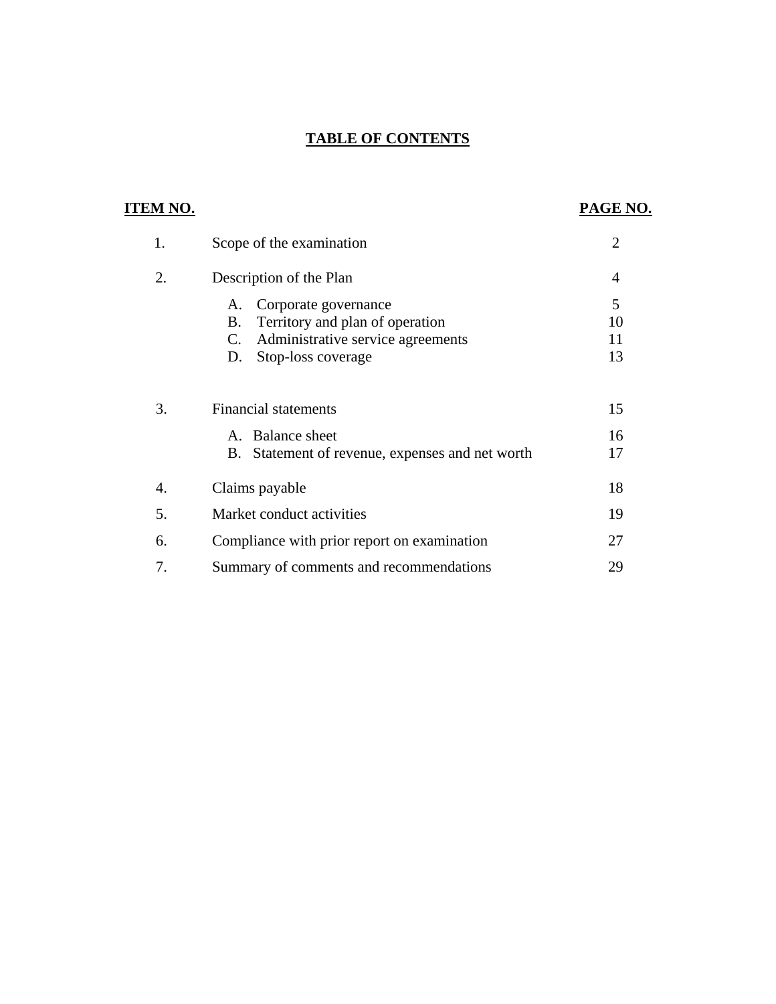# **TABLE OF CONTENTS**

| <b>ITEM NO.</b> |                                                                                                                                            | PAGE NO.            |
|-----------------|--------------------------------------------------------------------------------------------------------------------------------------------|---------------------|
| 1.              | Scope of the examination                                                                                                                   | $\overline{2}$      |
| 2.              | Description of the Plan                                                                                                                    | $\overline{4}$      |
|                 | Corporate governance<br>A.<br>B.<br>Territory and plan of operation<br>Administrative service agreements<br>C.<br>Stop-loss coverage<br>D. | 5<br>10<br>11<br>13 |
| 3.              | <b>Financial statements</b><br>A. Balance sheet<br>B. Statement of revenue, expenses and net worth                                         | 15<br>16<br>17      |
| 4.              | Claims payable                                                                                                                             | 18                  |
| 5.              | Market conduct activities                                                                                                                  | 19                  |
| 6.              | Compliance with prior report on examination                                                                                                | 27                  |
| 7.              | Summary of comments and recommendations                                                                                                    | 29                  |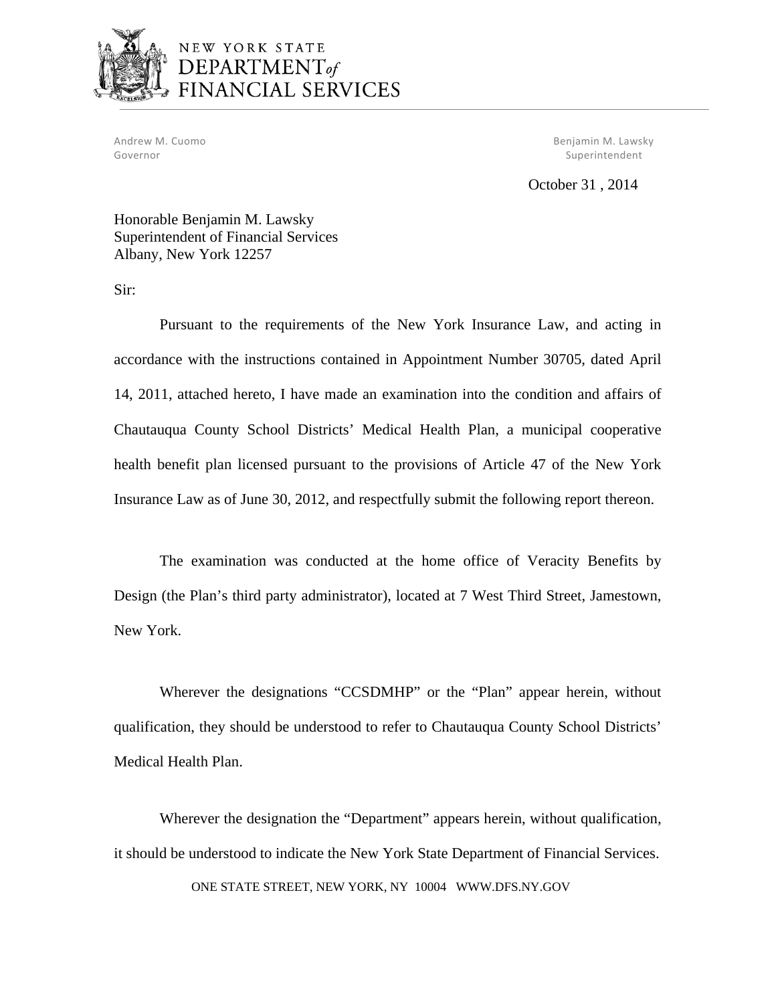

# NEW YORK STATE DEPARTMENT<sub>of</sub> FINANCIAL SERVICES

Governor Superintendent Controller Superintendent Superintendent Superintendent Superintendent

Andrew M. Cuomo Benjamin M. Lawsky

October 31 , 2014

Honorable Benjamin M. Lawsky Superintendent of Financial Services Albany, New York 12257

Sir:

Pursuant to the requirements of the New York Insurance Law, and acting in accordance with the instructions contained in Appointment Number 30705, dated April 14, 2011, attached hereto, I have made an examination into the condition and affairs of Chautauqua County School Districts' Medical Health Plan, a municipal cooperative health benefit plan licensed pursuant to the provisions of Article 47 of the New York Insurance Law as of June 30, 2012, and respectfully submit the following report thereon.

The examination was conducted at the home office of Veracity Benefits by Design (the Plan's third party administrator), located at 7 West Third Street, Jamestown, New York.

Wherever the designations "CCSDMHP" or the "Plan" appear herein, without qualification, they should be understood to refer to Chautauqua County School Districts' Medical Health Plan.

Wherever the designation the "Department" appears herein, without qualification, it should be understood to indicate the New York State Department of Financial Services.

ONE STATE STREET, NEW YORK, NY 10004 <WWW.DFS.NY.GOV>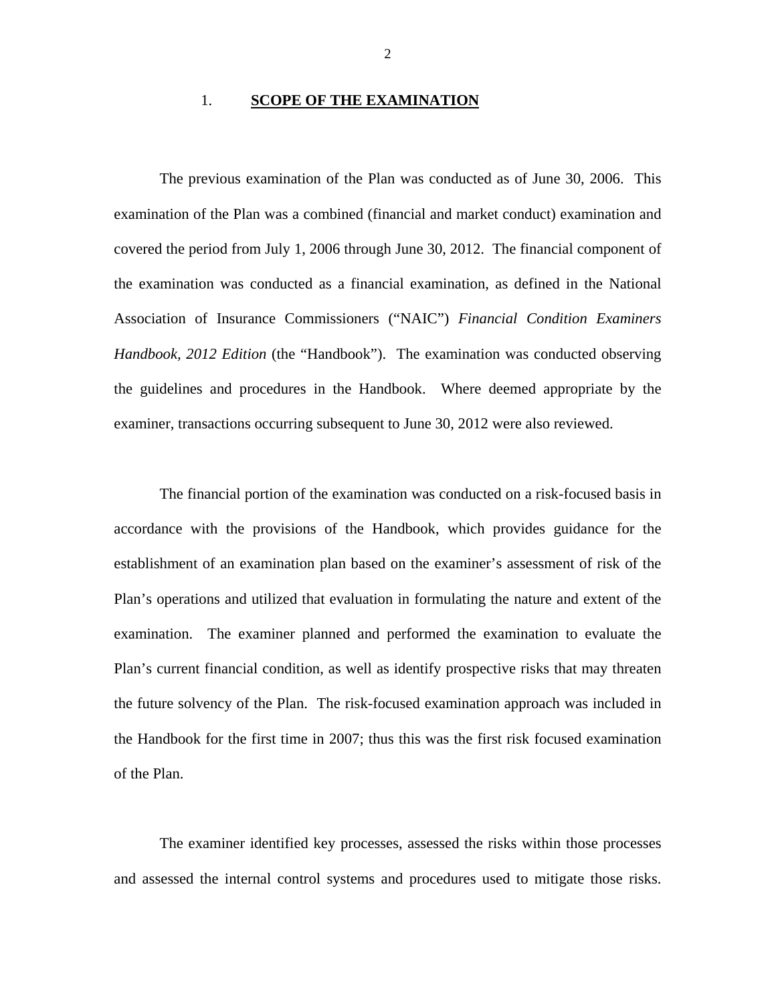#### 1. **SCOPE OF THE EXAMINATION**

The previous examination of the Plan was conducted as of June 30, 2006. This examination of the Plan was a combined (financial and market conduct) examination and covered the period from July 1, 2006 through June 30, 2012. The financial component of the examination was conducted as a financial examination, as defined in the National Association of Insurance Commissioners ("NAIC") *Financial Condition Examiners Handbook, 2012 Edition* (the "Handbook"). The examination was conducted observing the guidelines and procedures in the Handbook. Where deemed appropriate by the examiner, transactions occurring subsequent to June 30, 2012 were also reviewed.

The financial portion of the examination was conducted on a risk-focused basis in accordance with the provisions of the Handbook, which provides guidance for the establishment of an examination plan based on the examiner's assessment of risk of the Plan's operations and utilized that evaluation in formulating the nature and extent of the examination. The examiner planned and performed the examination to evaluate the Plan's current financial condition, as well as identify prospective risks that may threaten the future solvency of the Plan. The risk-focused examination approach was included in the Handbook for the first time in 2007; thus this was the first risk focused examination of the Plan.

The examiner identified key processes, assessed the risks within those processes and assessed the internal control systems and procedures used to mitigate those risks.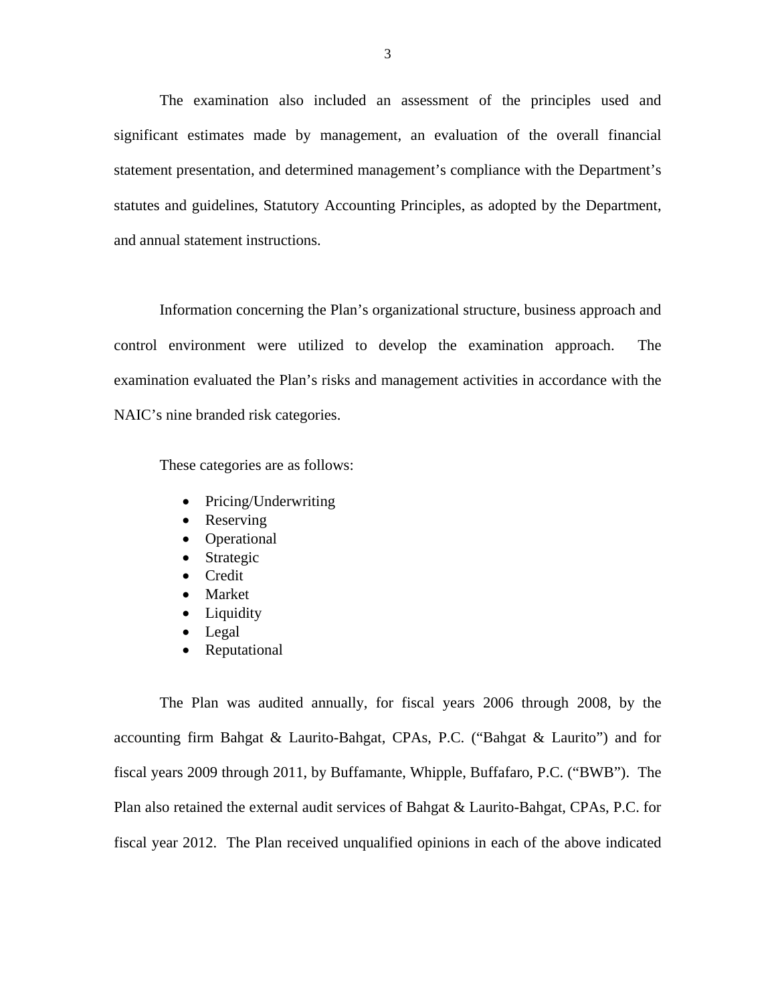The examination also included an assessment of the principles used and significant estimates made by management, an evaluation of the overall financial statement presentation, and determined management's compliance with the Department's statutes and guidelines, Statutory Accounting Principles, as adopted by the Department, and annual statement instructions.

Information concerning the Plan's organizational structure, business approach and control environment were utilized to develop the examination approach. The examination evaluated the Plan's risks and management activities in accordance with the NAIC's nine branded risk categories.

These categories are as follows:

- Pricing/Underwriting
- Reserving
- Operational
- Strategic
- Credit
- Market
- Liquidity
- Legal
- Reputational

The Plan was audited annually, for fiscal years 2006 through 2008, by the accounting firm Bahgat & Laurito-Bahgat, CPAs, P.C. ("Bahgat & Laurito") and for fiscal years 2009 through 2011, by Buffamante, Whipple, Buffafaro, P.C. ("BWB"). The Plan also retained the external audit services of Bahgat & Laurito-Bahgat, CPAs, P.C. for fiscal year 2012. The Plan received unqualified opinions in each of the above indicated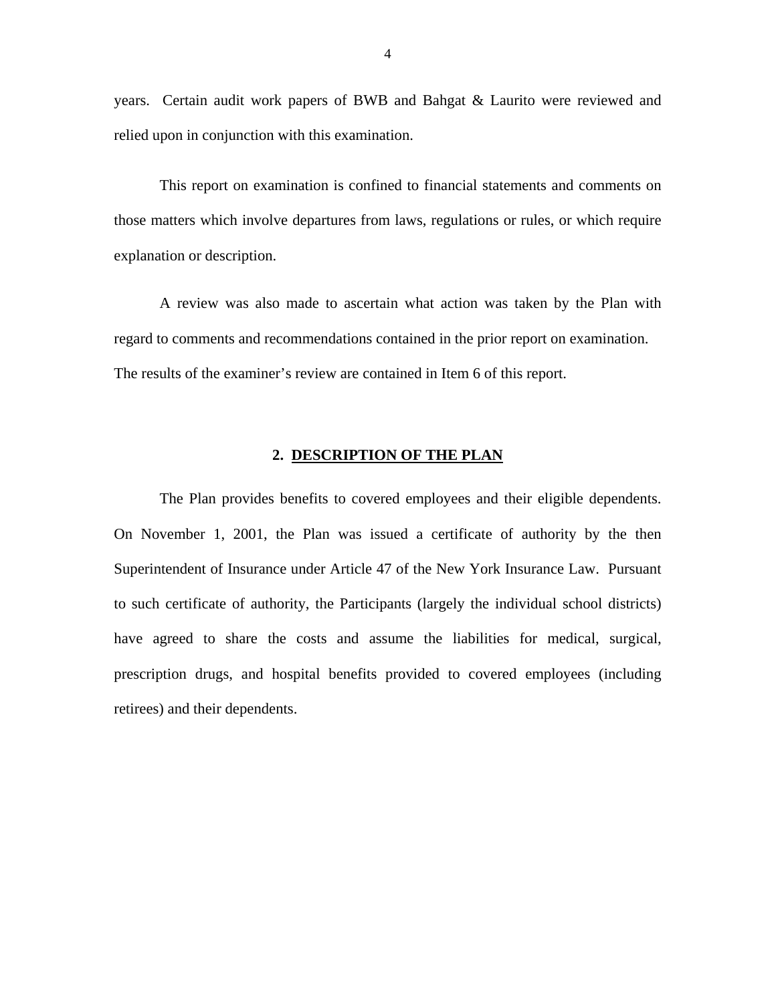<span id="page-5-0"></span>years. Certain audit work papers of BWB and Bahgat & Laurito were reviewed and relied upon in conjunction with this examination.

This report on examination is confined to financial statements and comments on those matters which involve departures from laws, regulations or rules, or which require explanation or description.

A review was also made to ascertain what action was taken by the Plan with regard to comments and recommendations contained in the prior report on examination. The results of the examiner's review are contained in Item 6 of this report.

#### **2. DESCRIPTION OF THE PLAN**

The Plan provides benefits to covered employees and their eligible dependents. On November 1, 2001, the Plan was issued a certificate of authority by the then Superintendent of Insurance under Article 47 of the New York Insurance Law. Pursuant to such certificate of authority, the Participants (largely the individual school districts) have agreed to share the costs and assume the liabilities for medical, surgical, prescription drugs, and hospital benefits provided to covered employees (including retirees) and their dependents.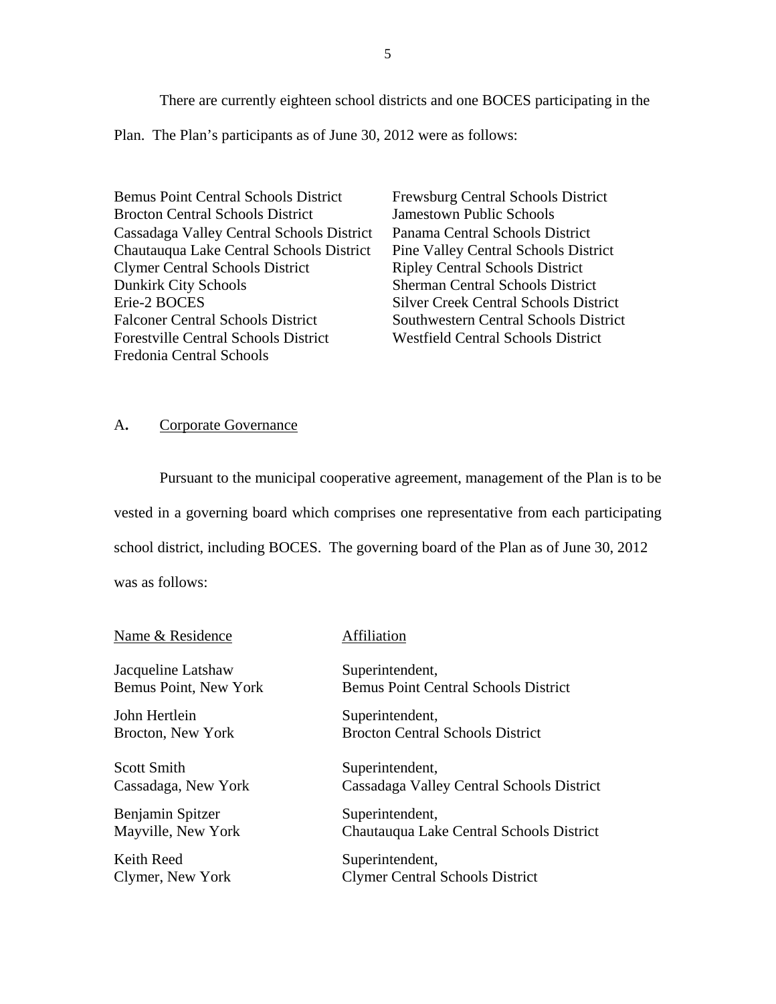<span id="page-6-0"></span>There are currently eighteen school districts and one BOCES participating in the Plan. The Plan's participants as of June 30, 2012 were as follows:

Bemus Point Central Schools District Brocton Central Schools District Cassadaga Valley Central Schools District Chautauqua Lake Central Schools District Clymer Central Schools District Dunkirk City Schools Erie-2 BOCES Falconer Central Schools District Forestville Central Schools District Fredonia Central Schools

Frewsburg Central Schools District Jamestown Public Schools Panama Central Schools District Pine Valley Central Schools District Ripley Central Schools District Sherman Central Schools District Silver Creek Central Schools District Southwestern Central Schools District Westfield Central Schools District

#### A**.** Corporate Governance

Pursuant to the municipal cooperative agreement, management of the Plan is to be vested in a governing board which comprises one representative from each participating school district, including BOCES. The governing board of the Plan as of June 30, 2012 was as follows:

| Name & Residence             | Affiliation                                 |
|------------------------------|---------------------------------------------|
| Jacqueline Latshaw           | Superintendent,                             |
| <b>Bemus Point, New York</b> | <b>Bemus Point Central Schools District</b> |
| John Hertlein                | Superintendent,                             |
| Brocton, New York            | <b>Brocton Central Schools District</b>     |
| <b>Scott Smith</b>           | Superintendent,                             |
| Cassadaga, New York          | Cassadaga Valley Central Schools District   |
| Benjamin Spitzer             | Superintendent,                             |
| Mayville, New York           | Chautauqua Lake Central Schools District    |
| Keith Reed                   | Superintendent,                             |
| Clymer, New York             | <b>Clymer Central Schools District</b>      |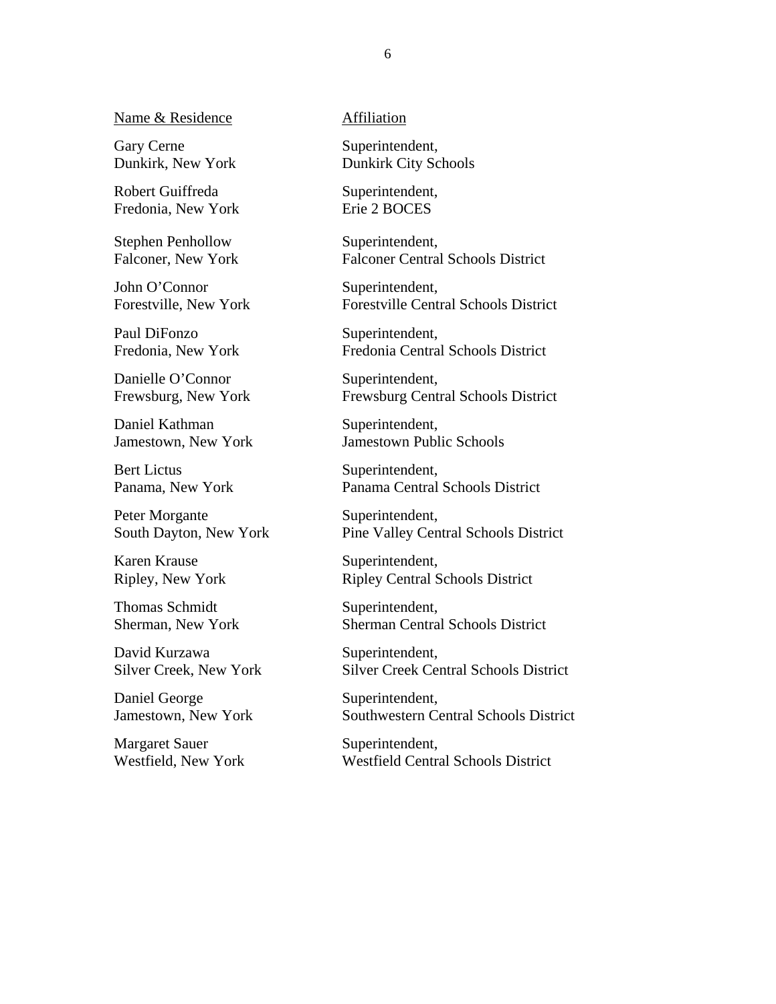Name & Residence

Gary Cerne Dunkirk, New York

Robert Guiffreda Fredonia, New York

Stephen Penhollow Falconer, New York

John O'Connor Forestville, New York

Paul DiFonzo Fredonia, New York

Danielle O'Connor Frewsburg, New York

Daniel Kathman Jamestown, New York

Bert Lictus Panama, New York

Peter Morgante South Dayton, New York

Karen Krause Ripley, New York

Thomas Schmidt Sherman, New York

David Kurzawa Silver Creek, New York

Daniel George Jamestown, New York

Margaret Sauer Westfield, New York Affiliation

Superintendent, Dunkirk City Schools

Superintendent, Erie 2 BOCES

Superintendent, Falconer Central Schools District

Superintendent, Forestville Central Schools District

Superintendent, Fredonia Central Schools District

Superintendent, Frewsburg Central Schools District

Superintendent, Jamestown Public Schools

Superintendent, Panama Central Schools District

Superintendent, Pine Valley Central Schools District

Superintendent, Ripley Central Schools District

Superintendent, Sherman Central Schools District

Superintendent, Silver Creek Central Schools District

Superintendent, Southwestern Central Schools District

Superintendent, Westfield Central Schools District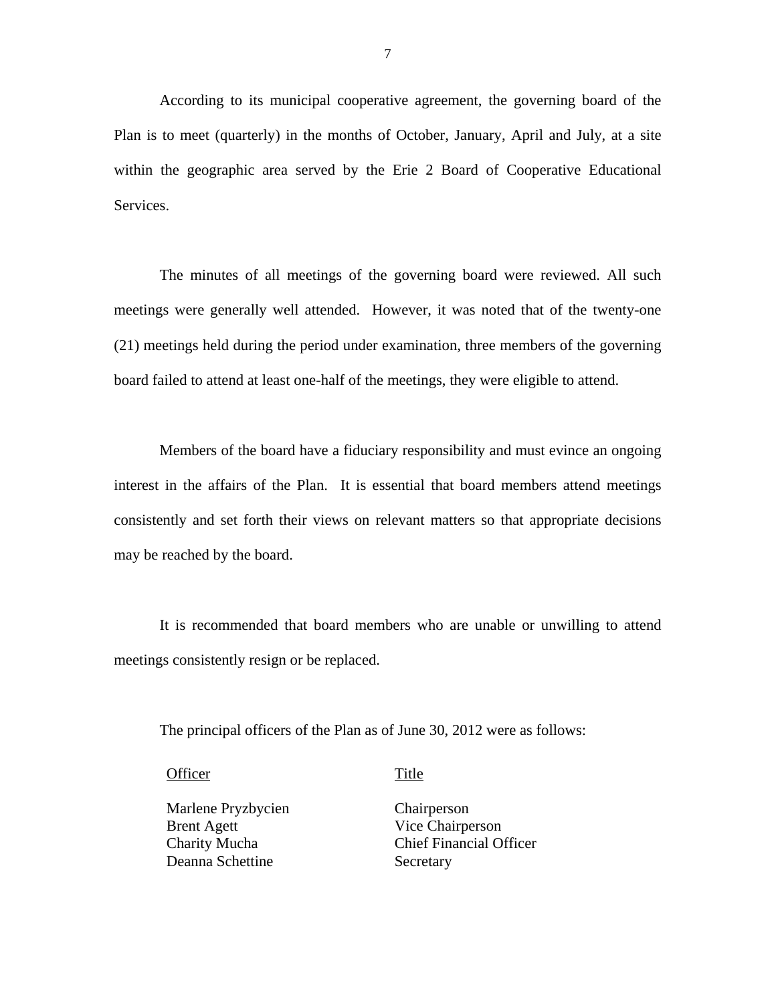According to its municipal cooperative agreement, the governing board of the Plan is to meet (quarterly) in the months of October, January, April and July, at a site within the geographic area served by the Erie 2 Board of Cooperative Educational Services.

The minutes of all meetings of the governing board were reviewed. All such meetings were generally well attended. However, it was noted that of the twenty-one (21) meetings held during the period under examination, three members of the governing board failed to attend at least one-half of the meetings, they were eligible to attend.

Members of the board have a fiduciary responsibility and must evince an ongoing interest in the affairs of the Plan. It is essential that board members attend meetings consistently and set forth their views on relevant matters so that appropriate decisions may be reached by the board.

It is recommended that board members who are unable or unwilling to attend meetings consistently resign or be replaced.

The principal officers of the Plan as of June 30, 2012 were as follows:

Officer Title

Marlene Pryzbycien Chairperson Brent Agett Vice Chairperson Deanna Schettine Secretary

Chairperson Charity Mucha Chief Financial Officer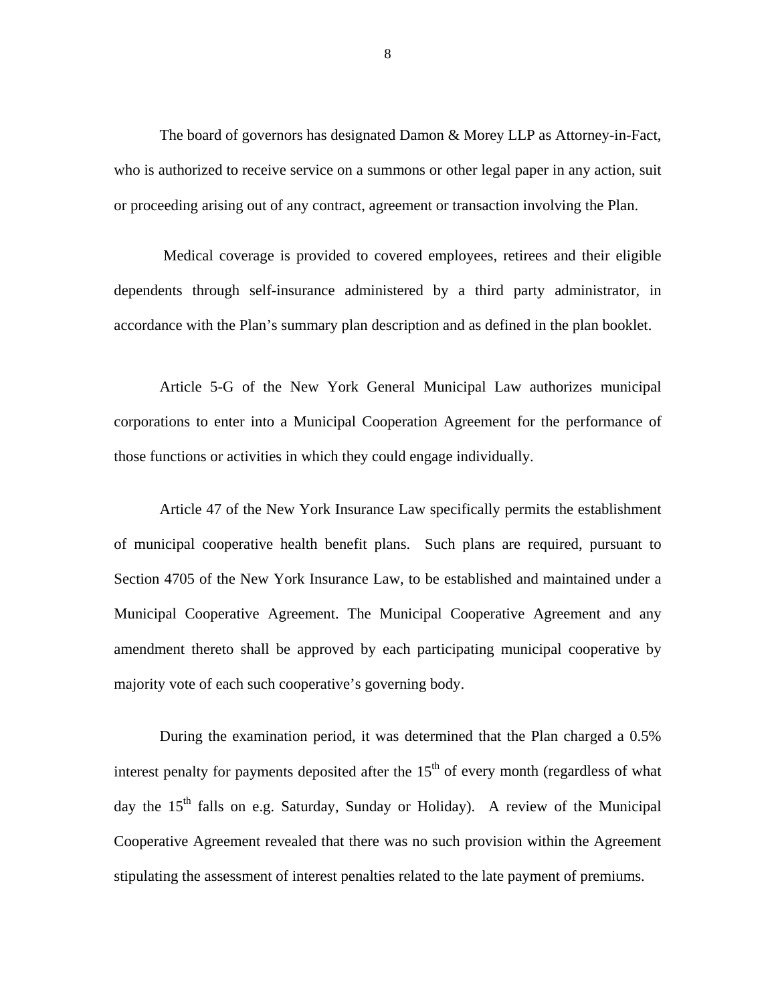The board of governors has designated Damon & Morey LLP as Attorney-in-Fact, who is authorized to receive service on a summons or other legal paper in any action, suit or proceeding arising out of any contract, agreement or transaction involving the Plan.

Medical coverage is provided to covered employees, retirees and their eligible dependents through self-insurance administered by a third party administrator, in accordance with the Plan's summary plan description and as defined in the plan booklet.

Article 5-G of the New York General Municipal Law authorizes municipal corporations to enter into a Municipal Cooperation Agreement for the performance of those functions or activities in which they could engage individually.

Article 47 of the New York Insurance Law specifically permits the establishment of municipal cooperative health benefit plans. Such plans are required, pursuant to Section 4705 of the New York Insurance Law, to be established and maintained under a Municipal Cooperative Agreement. The Municipal Cooperative Agreement and any amendment thereto shall be approved by each participating municipal cooperative by majority vote of each such cooperative's governing body.

During the examination period, it was determined that the Plan charged a 0.5% interest penalty for payments deposited after the  $15<sup>th</sup>$  of every month (regardless of what day the  $15<sup>th</sup>$  falls on e.g. Saturday, Sunday or Holiday). A review of the Municipal Cooperative Agreement revealed that there was no such provision within the Agreement stipulating the assessment of interest penalties related to the late payment of premiums.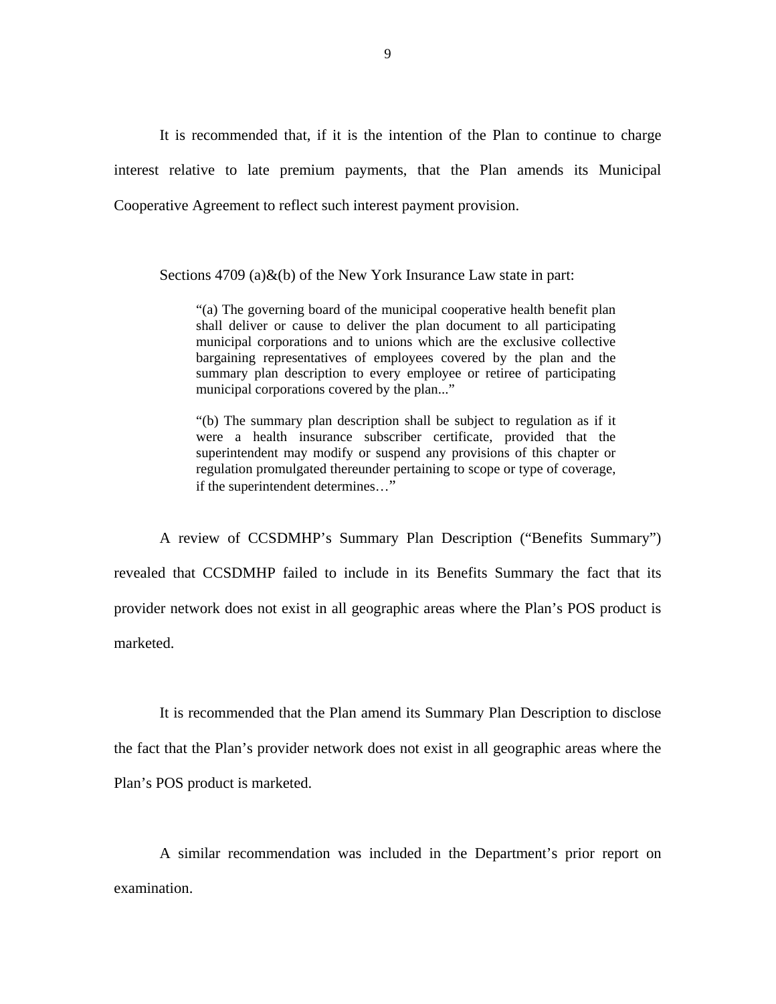It is recommended that, if it is the intention of the Plan to continue to charge interest relative to late premium payments, that the Plan amends its Municipal Cooperative Agreement to reflect such interest payment provision.

Sections 4709 (a) & (b) of the New York Insurance Law state in part:

"(a) The governing board of the municipal cooperative health benefit plan shall deliver or cause to deliver the plan document to all participating municipal corporations and to unions which are the exclusive collective bargaining representatives of employees covered by the plan and the summary plan description to every employee or retiree of participating municipal corporations covered by the plan..."

"(b) The summary plan description shall be subject to regulation as if it were a health insurance subscriber certificate, provided that the superintendent may modify or suspend any provisions of this chapter or regulation promulgated thereunder pertaining to scope or type of coverage, if the superintendent determines…"

A review of CCSDMHP's Summary Plan Description ("Benefits Summary") revealed that CCSDMHP failed to include in its Benefits Summary the fact that its provider network does not exist in all geographic areas where the Plan's POS product is marketed.

It is recommended that the Plan amend its Summary Plan Description to disclose the fact that the Plan's provider network does not exist in all geographic areas where the Plan's POS product is marketed.

A similar recommendation was included in the Department's prior report on examination.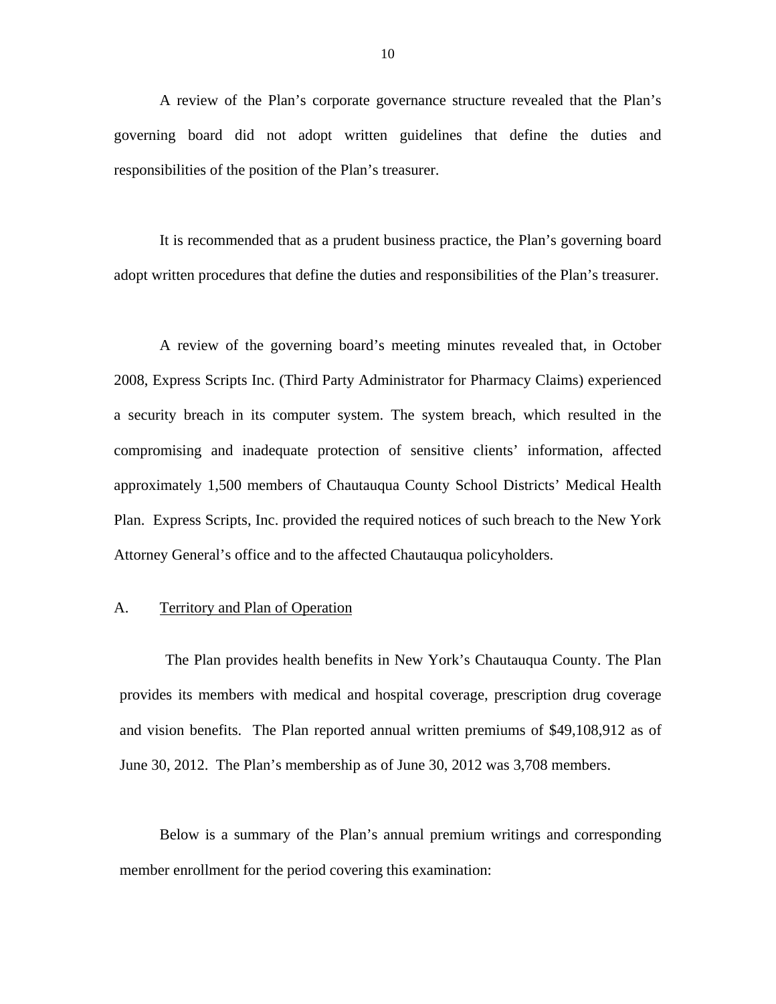<span id="page-11-0"></span>A review of the Plan's corporate governance structure revealed that the Plan's governing board did not adopt written guidelines that define the duties and responsibilities of the position of the Plan's treasurer.

It is recommended that as a prudent business practice, the Plan's governing board adopt written procedures that define the duties and responsibilities of the Plan's treasurer.

A review of the governing board's meeting minutes revealed that, in October 2008, Express Scripts Inc. (Third Party Administrator for Pharmacy Claims) experienced a security breach in its computer system. The system breach, which resulted in the compromising and inadequate protection of sensitive clients' information, affected approximately 1,500 members of Chautauqua County School Districts' Medical Health Plan. Express Scripts, Inc. provided the required notices of such breach to the New York Attorney General's office and to the affected Chautauqua policyholders.

#### A. Territory and Plan of Operation

The Plan provides health benefits in New York's Chautauqua County. The Plan provides its members with medical and hospital coverage, prescription drug coverage and vision benefits. The Plan reported annual written premiums of \$49,108,912 as of June 30, 2012. The Plan's membership as of June 30, 2012 was 3,708 members.

Below is a summary of the Plan's annual premium writings and corresponding member enrollment for the period covering this examination: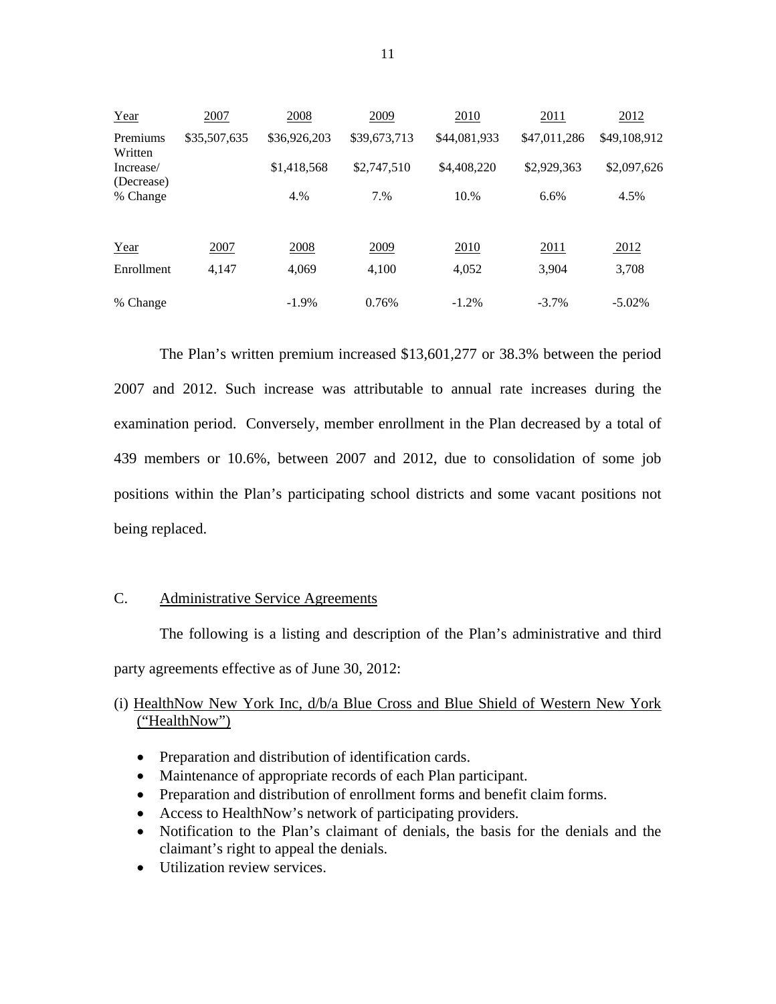<span id="page-12-0"></span>

| Year                    | 2007         | 2008         | 2009         | 2010         | 2011         | 2012         |
|-------------------------|--------------|--------------|--------------|--------------|--------------|--------------|
| Premiums<br>Written     | \$35,507,635 | \$36,926,203 | \$39,673,713 | \$44,081,933 | \$47,011,286 | \$49,108,912 |
| Increase/<br>(Decrease) |              | \$1,418,568  | \$2,747,510  | \$4,408,220  | \$2,929,363  | \$2,097,626  |
| % Change                |              | 4.%          | 7.%          | 10.%         | 6.6%         | 4.5%         |
| Year                    | 2007         | 2008         | 2009         | 2010         | 2011         | 2012         |
| Enrollment              | 4,147        | 4,069        | 4,100        | 4,052        | 3,904        | 3,708        |
| % Change                |              | $-1.9\%$     | 0.76%        | $-1.2%$      | $-3.7\%$     | $-5.02\%$    |

The Plan's written premium increased \$13,601,277 or 38.3% between the period 2007 and 2012. Such increase was attributable to annual rate increases during the examination period. Conversely, member enrollment in the Plan decreased by a total of 439 members or 10.6%, between 2007 and 2012, due to consolidation of some job positions within the Plan's participating school districts and some vacant positions not being replaced.

#### C. Administrative Service Agreements

The following is a listing and description of the Plan's administrative and third party agreements effective as of June 30, 2012:

# (i) HealthNow New York Inc, d/b/a Blue Cross and Blue Shield of Western New York ("HealthNow")

- Preparation and distribution of identification cards.
- Maintenance of appropriate records of each Plan participant.
- Preparation and distribution of enrollment forms and benefit claim forms.
- Access to HealthNow's network of participating providers.
- Notification to the Plan's claimant of denials, the basis for the denials and the claimant's right to appeal the denials.
- Utilization review services.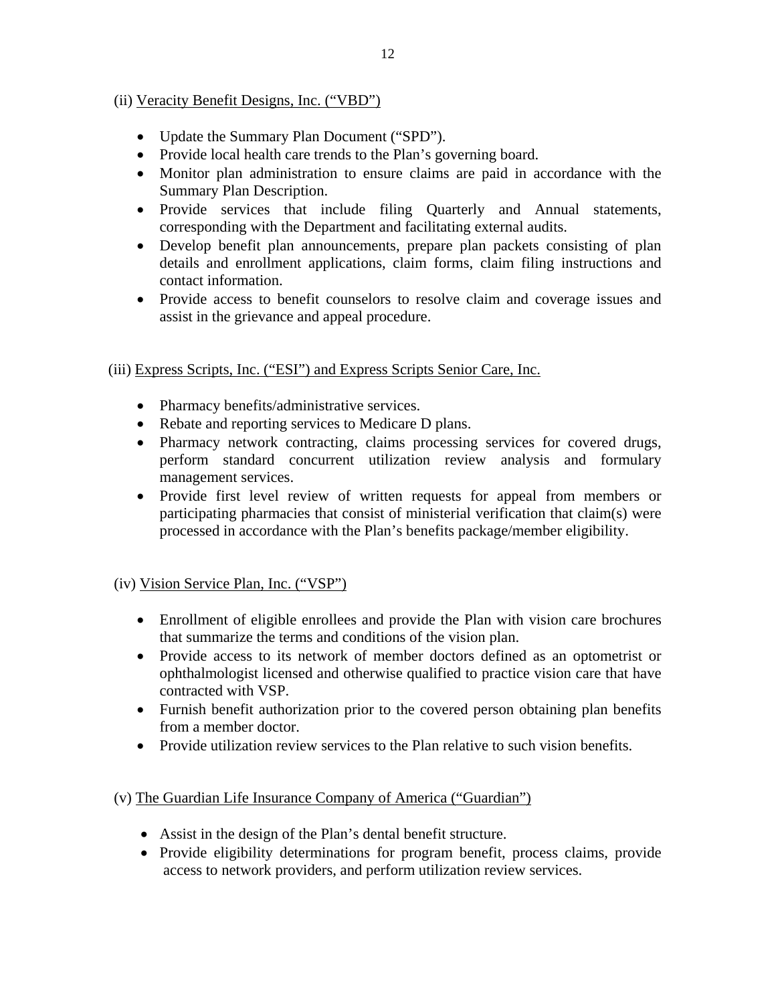# (ii) Veracity Benefit Designs, Inc. ("VBD")

- Update the Summary Plan Document ("SPD").
- Provide local health care trends to the Plan's governing board.
- Monitor plan administration to ensure claims are paid in accordance with the Summary Plan Description.
- Provide services that include filing Quarterly and Annual statements, corresponding with the Department and facilitating external audits.
- Develop benefit plan announcements, prepare plan packets consisting of plan details and enrollment applications, claim forms, claim filing instructions and contact information.
- Provide access to benefit counselors to resolve claim and coverage issues and assist in the grievance and appeal procedure.

(iii) Express Scripts, Inc. ("ESI") and Express Scripts Senior Care, Inc.

- Pharmacy benefits/administrative services.
- Rebate and reporting services to Medicare D plans.
- Pharmacy network contracting, claims processing services for covered drugs, perform standard concurrent utilization review analysis and formulary management services.
- Provide first level review of written requests for appeal from members or participating pharmacies that consist of ministerial verification that claim(s) were processed in accordance with the Plan's benefits package/member eligibility.

# (iv) Vision Service Plan, Inc. ("VSP")

- Enrollment of eligible enrollees and provide the Plan with vision care brochures that summarize the terms and conditions of the vision plan.
- Provide access to its network of member doctors defined as an optometrist or ophthalmologist licensed and otherwise qualified to practice vision care that have contracted with VSP.
- Furnish benefit authorization prior to the covered person obtaining plan benefits from a member doctor.
- Provide utilization review services to the Plan relative to such vision benefits.

### (v) The Guardian Life Insurance Company of America ("Guardian")

- Assist in the design of the Plan's dental benefit structure.
- Provide eligibility determinations for program benefit, process claims, provide access to network providers, and perform utilization review services.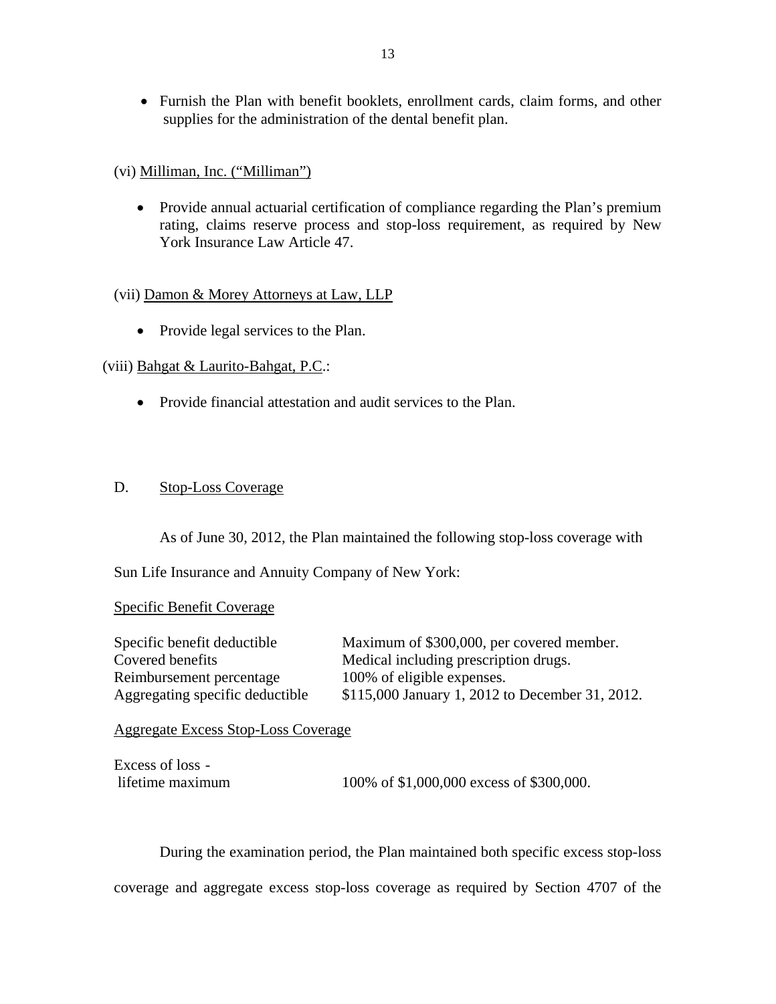<span id="page-14-0"></span> Furnish the Plan with benefit booklets, enrollment cards, claim forms, and other supplies for the administration of the dental benefit plan.

### (vi) Milliman, Inc. ("Milliman")

 Provide annual actuarial certification of compliance regarding the Plan's premium rating, claims reserve process and stop-loss requirement, as required by New York Insurance Law Article 47.

# (vii) Damon & Morey Attorneys at Law, LLP

• Provide legal services to the Plan.

# (viii) Bahgat & Laurito-Bahgat, P.C.:

Provide financial attestation and audit services to the Plan.

# D. Stop-Loss Coverage

As of June 30, 2012, the Plan maintained the following stop-loss coverage with

Sun Life Insurance and Annuity Company of New York:

### Specific Benefit Coverage

| Specific benefit deductible     | Maximum of \$300,000, per covered member.       |
|---------------------------------|-------------------------------------------------|
| Covered benefits                | Medical including prescription drugs.           |
| Reimbursement percentage        | 100% of eligible expenses.                      |
| Aggregating specific deductible | \$115,000 January 1, 2012 to December 31, 2012. |

Aggregate Excess Stop-Loss Coverage

```
Excess of loss -
lifetime maximum 100% of $1,000,000 excess of $300,000.
```
During the examination period, the Plan maintained both specific excess stop-loss coverage and aggregate excess stop-loss coverage as required by Section 4707 of the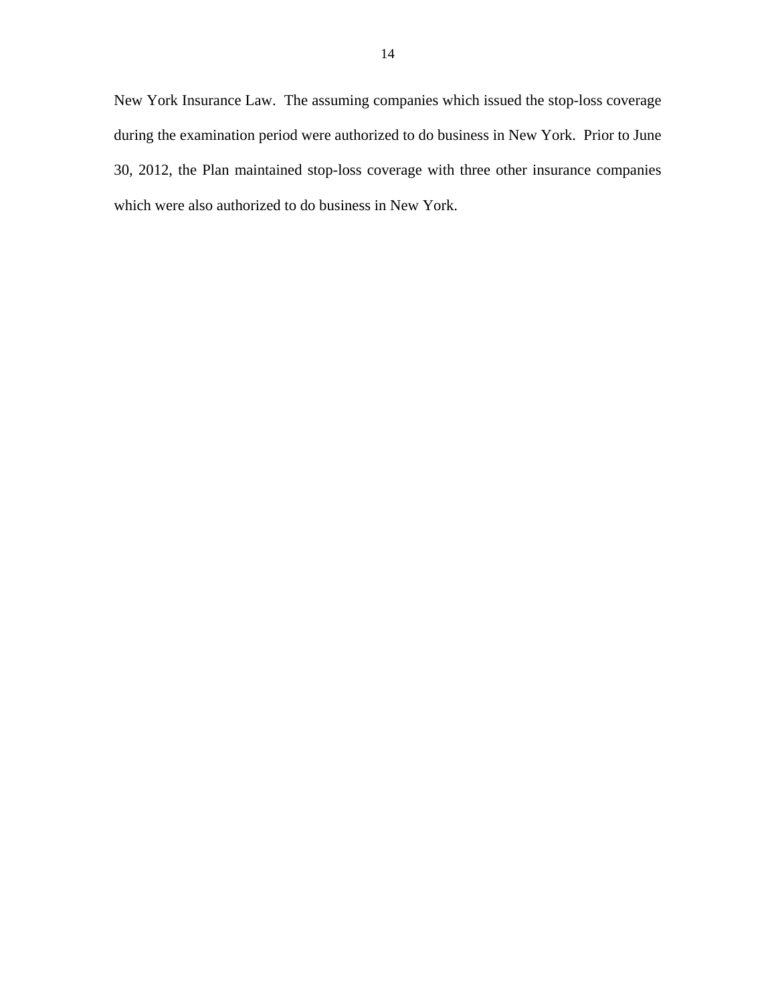New York Insurance Law. The assuming companies which issued the stop-loss coverage during the examination period were authorized to do business in New York. Prior to June 30, 2012, the Plan maintained stop-loss coverage with three other insurance companies which were also authorized to do business in New York.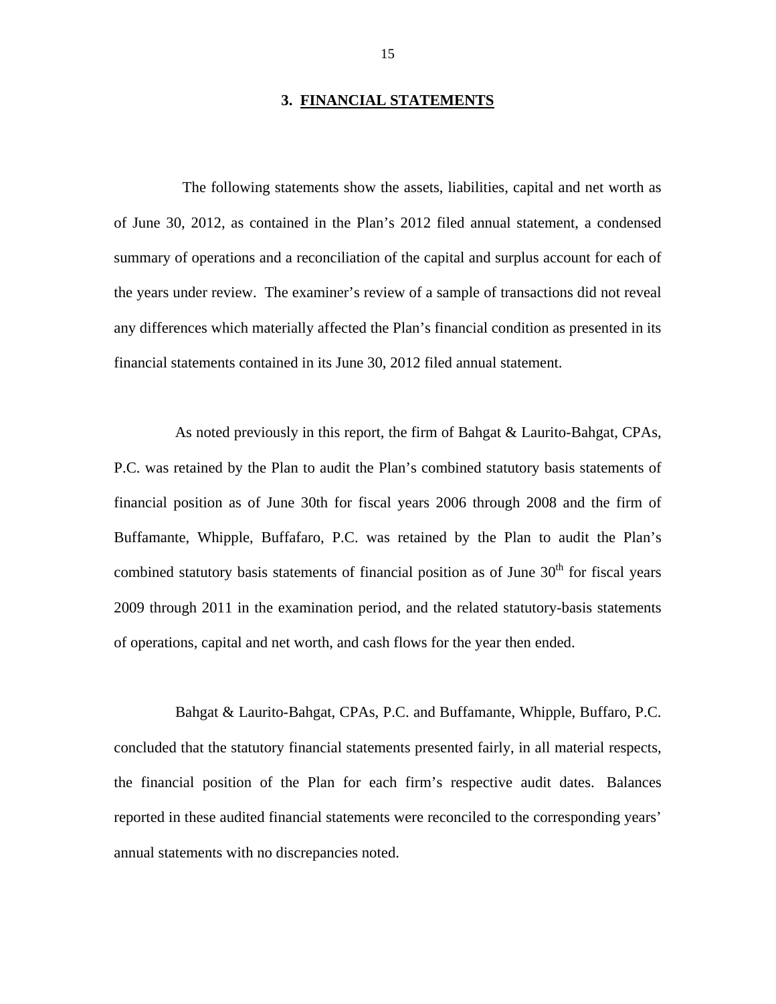#### **3. FINANCIAL STATEMENTS**

<span id="page-16-0"></span>The following statements show the assets, liabilities, capital and net worth as of June 30, 2012, as contained in the Plan's 2012 filed annual statement, a condensed summary of operations and a reconciliation of the capital and surplus account for each of the years under review. The examiner's review of a sample of transactions did not reveal any differences which materially affected the Plan's financial condition as presented in its financial statements contained in its June 30, 2012 filed annual statement.

As noted previously in this report, the firm of Bahgat & Laurito-Bahgat, CPAs, P.C. was retained by the Plan to audit the Plan's combined statutory basis statements of financial position as of June 30th for fiscal years 2006 through 2008 and the firm of Buffamante, Whipple, Buffafaro, P.C. was retained by the Plan to audit the Plan's combined statutory basis statements of financial position as of June  $30<sup>th</sup>$  for fiscal years 2009 through 2011 in the examination period, and the related statutory-basis statements of operations, capital and net worth, and cash flows for the year then ended.

Bahgat & Laurito-Bahgat, CPAs, P.C. and Buffamante, Whipple, Buffaro, P.C. concluded that the statutory financial statements presented fairly, in all material respects, the financial position of the Plan for each firm's respective audit dates. Balances reported in these audited financial statements were reconciled to the corresponding years' annual statements with no discrepancies noted.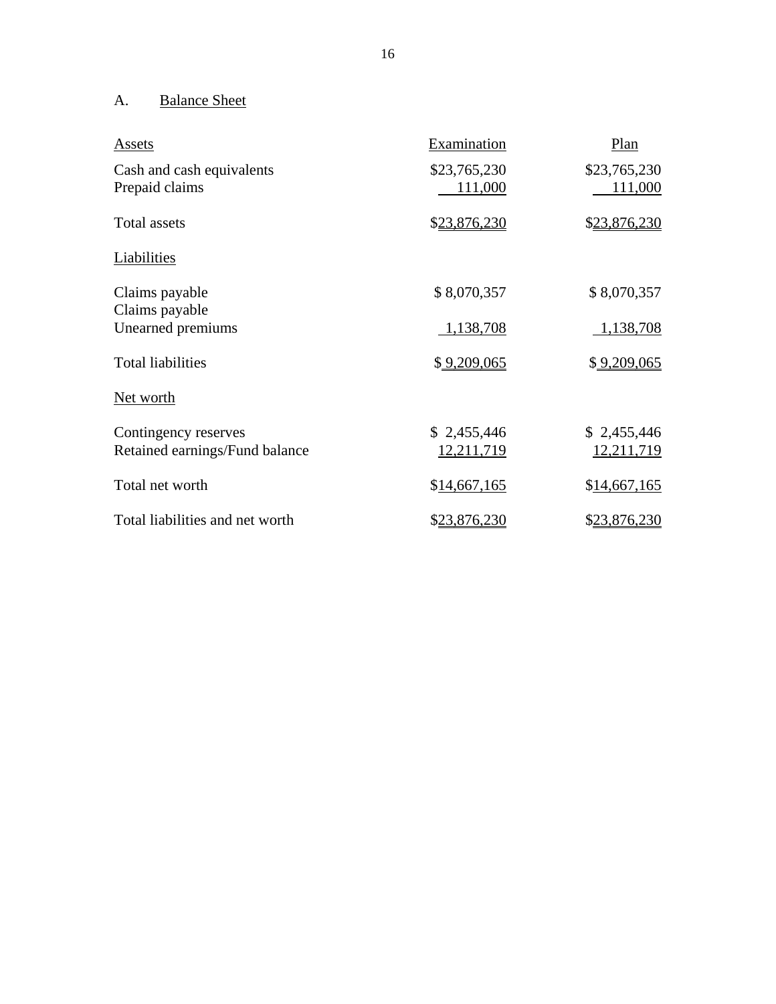# A. Balance Sheet

| Assets                                                 | Examination               | Plan                      |
|--------------------------------------------------------|---------------------------|---------------------------|
| Cash and cash equivalents<br>Prepaid claims            | \$23,765,230<br>111,000   | \$23,765,230<br>111,000   |
| <b>Total assets</b>                                    | \$23,876,230              | \$23,876,230              |
| Liabilities                                            |                           |                           |
| Claims payable<br>Claims payable                       | \$8,070,357               | \$8,070,357               |
| Unearned premiums                                      | 1,138,708                 | 1,138,708                 |
| <b>Total liabilities</b>                               | \$9,209,065               | \$9,209,065               |
| <u>Net worth</u>                                       |                           |                           |
| Contingency reserves<br>Retained earnings/Fund balance | \$2,455,446<br>12,211,719 | \$2,455,446<br>12,211,719 |
| Total net worth                                        | \$14,667,165              | \$14,667,165              |
| Total liabilities and net worth                        | \$23,876,230              | \$23,876,230              |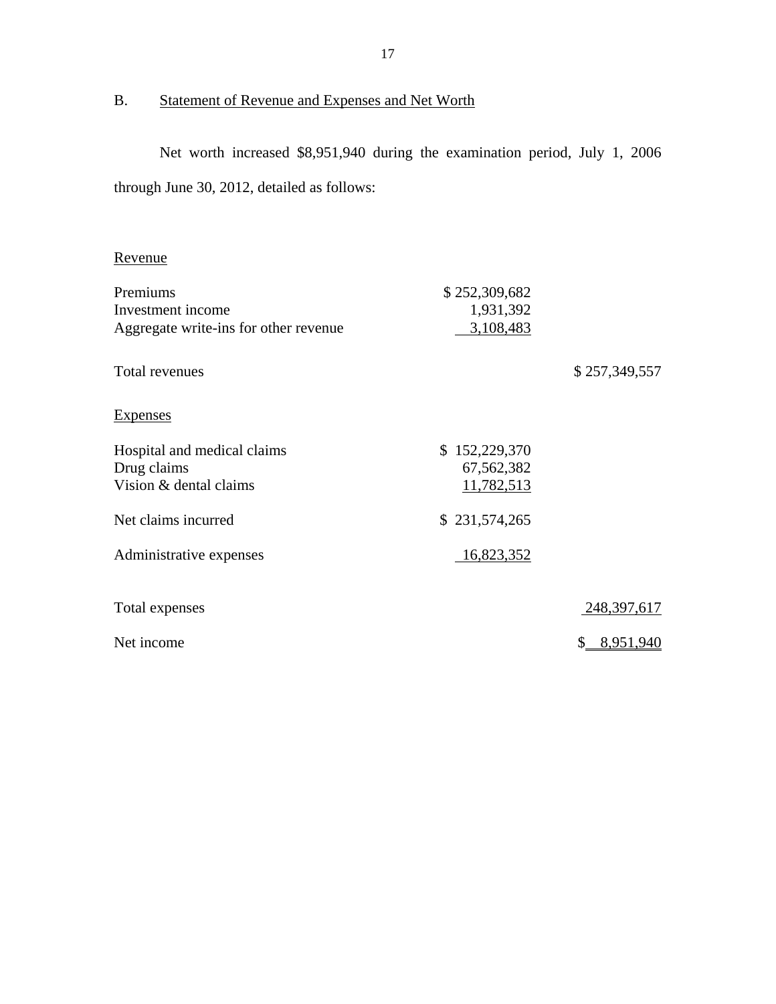# <span id="page-18-0"></span>B. Statement of Revenue and Expenses and Net Worth

Net worth increased \$8,951,940 during the examination period, July 1, 2006 through June 30, 2012, detailed as follows:

# Revenue

| Premiums                              | \$252,309,682 |                 |
|---------------------------------------|---------------|-----------------|
| Investment income                     | 1,931,392     |                 |
| Aggregate write-ins for other revenue | 3,108,483     |                 |
| Total revenues                        |               | \$257,349,557   |
| <b>Expenses</b>                       |               |                 |
| Hospital and medical claims           | \$152,229,370 |                 |
| Drug claims                           | 67,562,382    |                 |
| Vision & dental claims                | 11,782,513    |                 |
| Net claims incurred                   | \$231,574,265 |                 |
| Administrative expenses               | 16,823,352    |                 |
| Total expenses                        |               | 248,397,617     |
| Net income                            |               | 8,951,940<br>S. |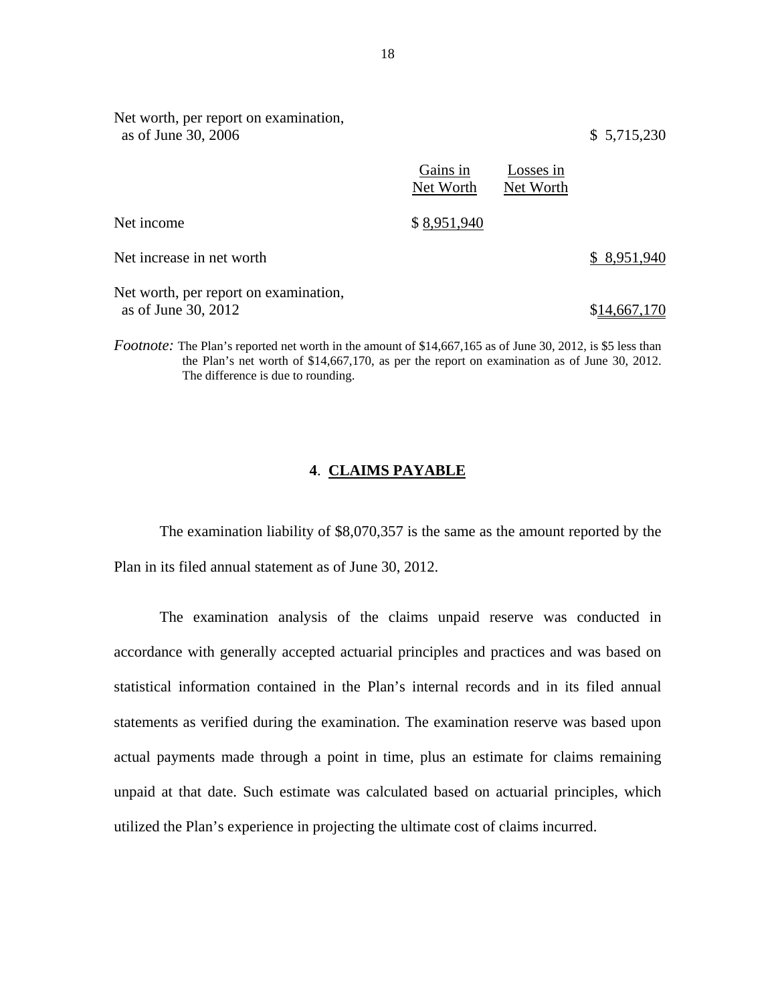| as of June 30, 2006                                                                                                |                       |                        | \$5,715,230  |
|--------------------------------------------------------------------------------------------------------------------|-----------------------|------------------------|--------------|
|                                                                                                                    | Gains in<br>Net Worth | Losses in<br>Net Worth |              |
| Net income                                                                                                         | \$8,951,940           |                        |              |
| Net increase in net worth                                                                                          |                       |                        | \$8,951,940  |
| Net worth, per report on examination,<br>as of June 30, 2012                                                       |                       |                        | \$14,667,170 |
| <i>Footnote:</i> The Plan's reported net worth in the amount of \$14,667,165 as of June 30, 2012, is \$5 less than |                       |                        |              |

the Plan's net worth of \$14,667,170, as per the report on examination as of June 30, 2012. The difference is due to rounding.

# **4**. **CLAIMS PAYABLE**

The examination liability of \$8,070,357 is the same as the amount reported by the Plan in its filed annual statement as of June 30, 2012.

The examination analysis of the claims unpaid reserve was conducted in accordance with generally accepted actuarial principles and practices and was based on statistical information contained in the Plan's internal records and in its filed annual statements as verified during the examination. The examination reserve was based upon actual payments made through a point in time, plus an estimate for claims remaining unpaid at that date. Such estimate was calculated based on actuarial principles, which utilized the Plan's experience in projecting the ultimate cost of claims incurred.

Net worth, per report on examination,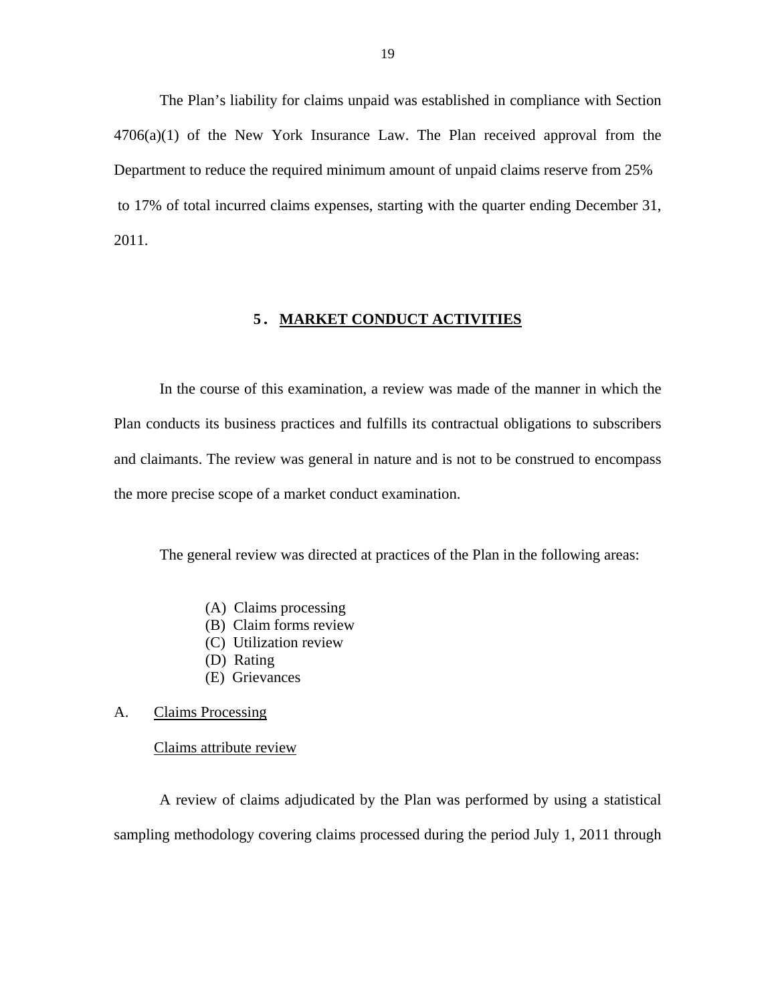<span id="page-20-0"></span>The Plan's liability for claims unpaid was established in compliance with Section  $4706(a)(1)$  of the New York Insurance Law. The Plan received approval from the Department to reduce the required minimum amount of unpaid claims reserve from 25% to 17% of total incurred claims expenses, starting with the quarter ending December 31, 2011.

#### **5. MARKET CONDUCT ACTIVITIES**

In the course of this examination, a review was made of the manner in which the Plan conducts its business practices and fulfills its contractual obligations to subscribers and claimants. The review was general in nature and is not to be construed to encompass the more precise scope of a market conduct examination.

The general review was directed at practices of the Plan in the following areas:

- (A) Claims processing
- (B) Claim forms review
- (C) Utilization review
- (D) Rating
- (E) Grievances

#### A. Claims Processing

#### Claims attribute review

A review of claims adjudicated by the Plan was performed by using a statistical sampling methodology covering claims processed during the period July 1, 2011 through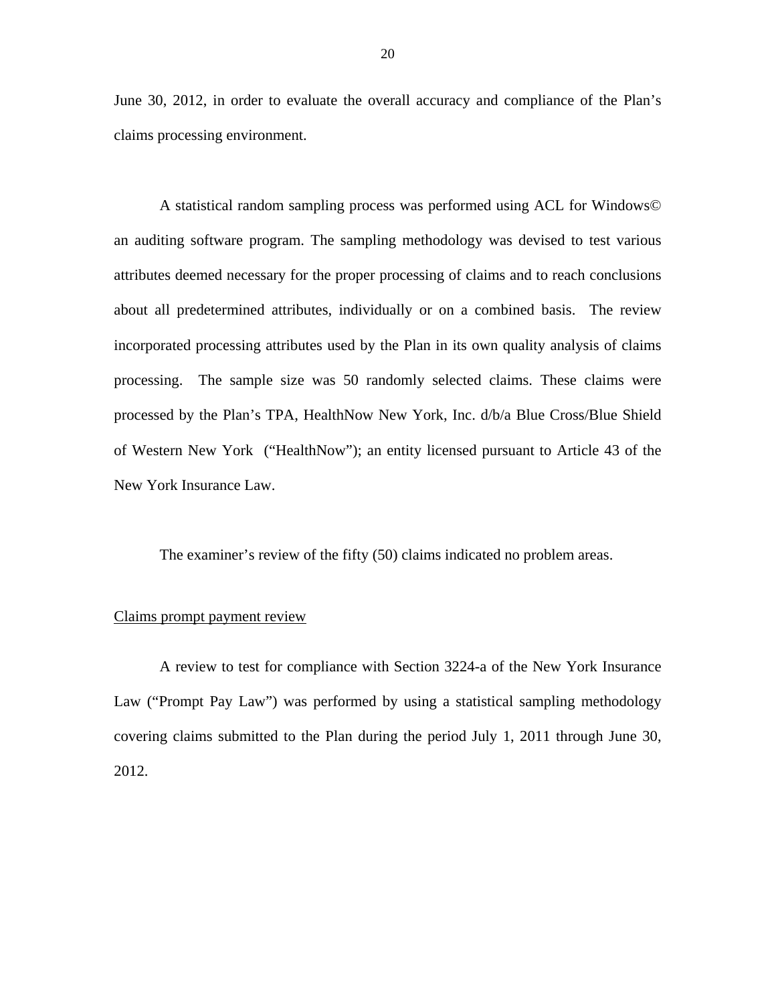June 30, 2012, in order to evaluate the overall accuracy and compliance of the Plan's claims processing environment.

A statistical random sampling process was performed using ACL for Windows© an auditing software program. The sampling methodology was devised to test various attributes deemed necessary for the proper processing of claims and to reach conclusions about all predetermined attributes, individually or on a combined basis. The review incorporated processing attributes used by the Plan in its own quality analysis of claims processing. The sample size was 50 randomly selected claims. These claims were processed by the Plan's TPA, HealthNow New York, Inc. d/b/a Blue Cross/Blue Shield of Western New York ("HealthNow"); an entity licensed pursuant to Article 43 of the New York Insurance Law.

The examiner's review of the fifty (50) claims indicated no problem areas.

#### Claims prompt payment review

A review to test for compliance with Section 3224-a of the New York Insurance Law ("Prompt Pay Law") was performed by using a statistical sampling methodology covering claims submitted to the Plan during the period July 1, 2011 through June 30, 2012.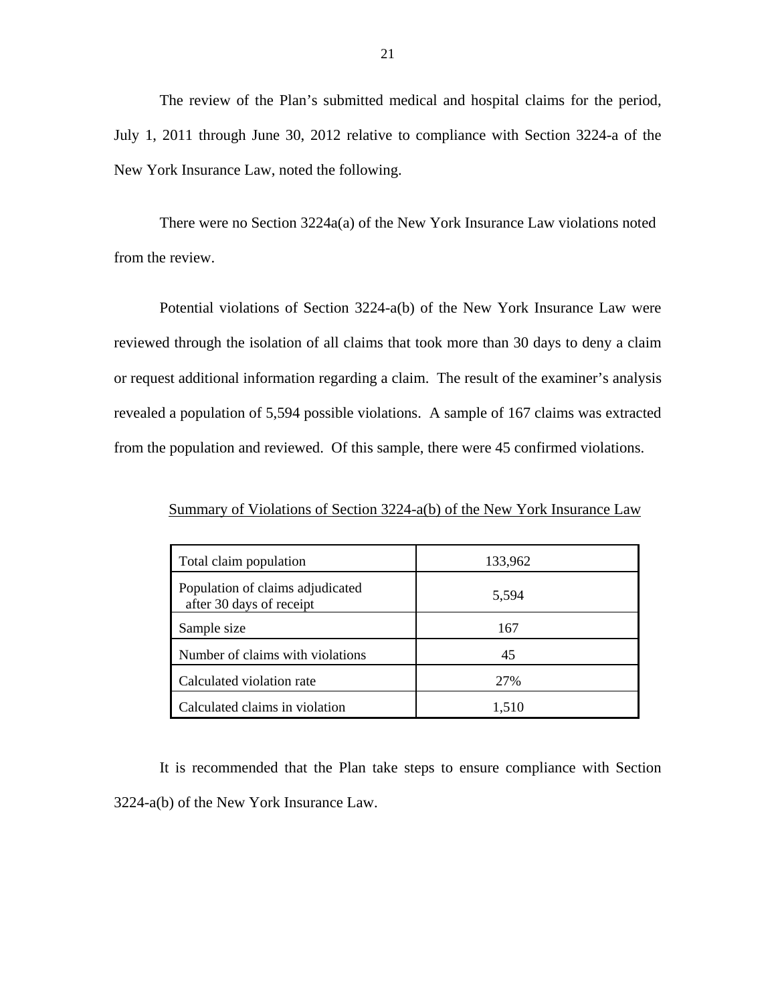The review of the Plan's submitted medical and hospital claims for the period, July 1, 2011 through June 30, 2012 relative to compliance with Section 3224-a of the New York Insurance Law, noted the following.

There were no Section 3224a(a) of the New York Insurance Law violations noted from the review.

Potential violations of Section 3224-a(b) of the New York Insurance Law were reviewed through the isolation of all claims that took more than 30 days to deny a claim or request additional information regarding a claim. The result of the examiner's analysis revealed a population of 5,594 possible violations. A sample of 167 claims was extracted from the population and reviewed. Of this sample, there were 45 confirmed violations.

| Total claim population                                       | 133,962 |
|--------------------------------------------------------------|---------|
| Population of claims adjudicated<br>after 30 days of receipt | 5,594   |
| Sample size                                                  | 167     |
| Number of claims with violations                             | 45      |
| Calculated violation rate                                    | 27%     |
| Calculated claims in violation                               | 1,510   |

Summary of Violations of Section 3224-a(b) of the New York Insurance Law

It is recommended that the Plan take steps to ensure compliance with Section 3224-a(b) of the New York Insurance Law.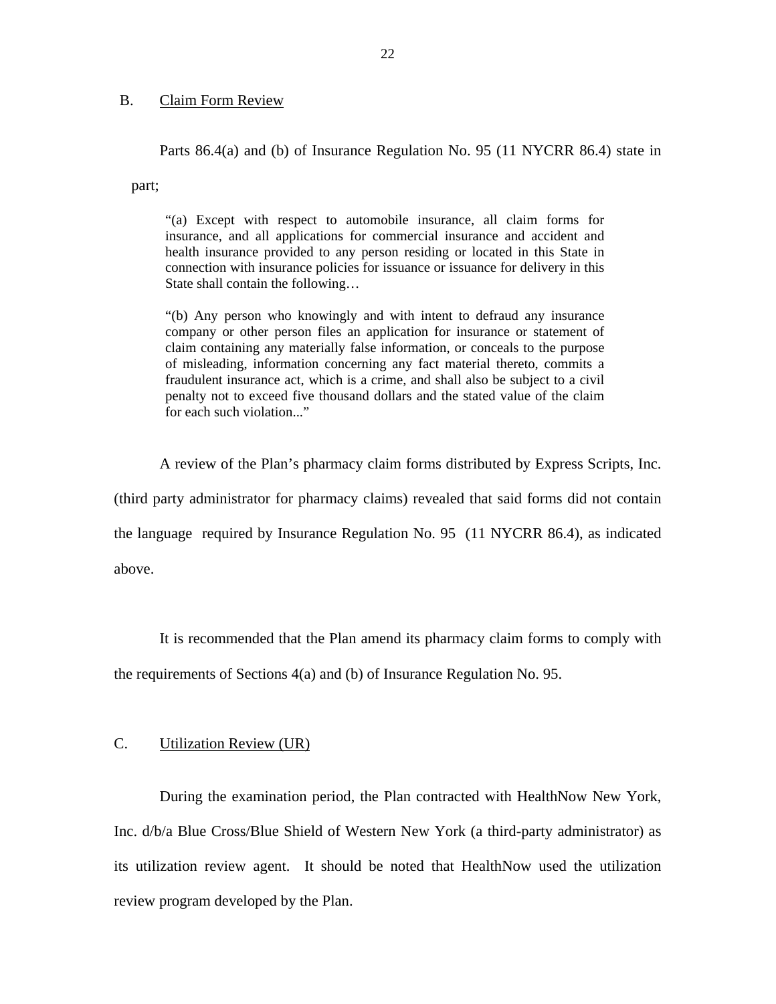#### B. Claim Form Review

Parts 86.4(a) and (b) of Insurance Regulation No. 95 (11 NYCRR 86.4) state in

part;

"(a) Except with respect to automobile insurance, all claim forms for insurance, and all applications for commercial insurance and accident and health insurance provided to any person residing or located in this State in connection with insurance policies for issuance or issuance for delivery in this State shall contain the following…

"(b) Any person who knowingly and with intent to defraud any insurance company or other person files an application for insurance or statement of claim containing any materially false information, or conceals to the purpose of misleading, information concerning any fact material thereto, commits a fraudulent insurance act, which is a crime, and shall also be subject to a civil penalty not to exceed five thousand dollars and the stated value of the claim for each such violation..."

A review of the Plan's pharmacy claim forms distributed by Express Scripts, Inc.

(third party administrator for pharmacy claims) revealed that said forms did not contain the language required by Insurance Regulation No. 95 (11 NYCRR 86.4), as indicated above.

It is recommended that the Plan amend its pharmacy claim forms to comply with

the requirements of Sections 4(a) and (b) of Insurance Regulation No. 95.

#### C. Utilization Review (UR)

During the examination period, the Plan contracted with HealthNow New York, Inc. d/b/a Blue Cross/Blue Shield of Western New York (a third-party administrator) as its utilization review agent. It should be noted that HealthNow used the utilization review program developed by the Plan.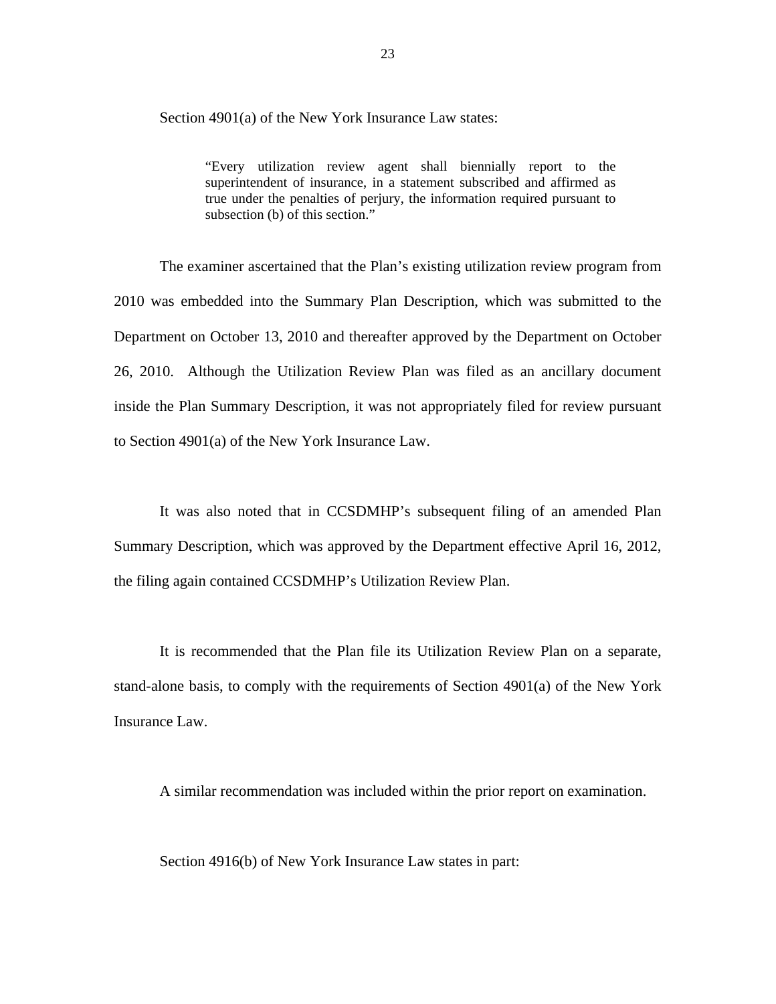Section 4901(a) of the New York Insurance Law states:

"Every utilization review agent shall biennially report to the superintendent of insurance, in a statement subscribed and affirmed as true under the penalties of perjury, the information required pursuant to subsection (b) of this section."

The examiner ascertained that the Plan's existing utilization review program from 2010 was embedded into the Summary Plan Description, which was submitted to the Department on October 13, 2010 and thereafter approved by the Department on October 26, 2010. Although the Utilization Review Plan was filed as an ancillary document inside the Plan Summary Description, it was not appropriately filed for review pursuant to Section 4901(a) of the New York Insurance Law.

It was also noted that in CCSDMHP's subsequent filing of an amended Plan Summary Description, which was approved by the Department effective April 16, 2012, the filing again contained CCSDMHP's Utilization Review Plan.

It is recommended that the Plan file its Utilization Review Plan on a separate, stand-alone basis, to comply with the requirements of Section 4901(a) of the New York Insurance Law.

A similar recommendation was included within the prior report on examination.

Section 4916(b) of New York Insurance Law states in part: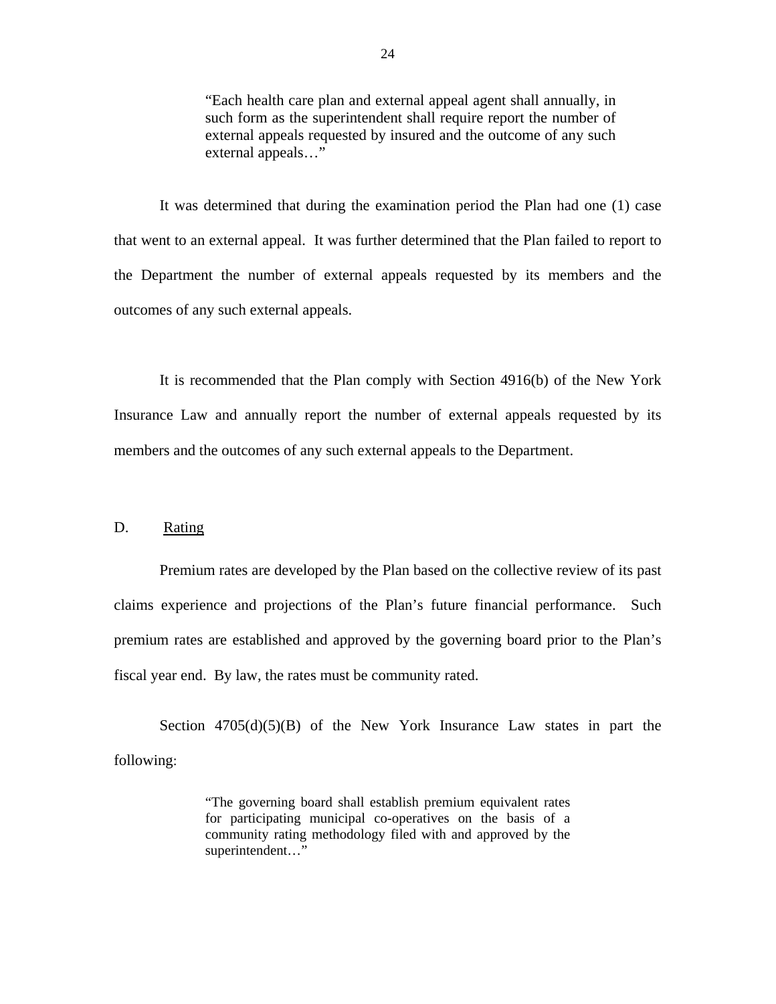"Each health care plan and external appeal agent shall annually, in such form as the superintendent shall require report the number of external appeals requested by insured and the outcome of any such external appeals…"

It was determined that during the examination period the Plan had one (1) case that went to an external appeal. It was further determined that the Plan failed to report to the Department the number of external appeals requested by its members and the outcomes of any such external appeals.

It is recommended that the Plan comply with Section 4916(b) of the New York Insurance Law and annually report the number of external appeals requested by its members and the outcomes of any such external appeals to the Department.

#### D. Rating

Premium rates are developed by the Plan based on the collective review of its past claims experience and projections of the Plan's future financial performance. Such premium rates are established and approved by the governing board prior to the Plan's fiscal year end. By law, the rates must be community rated.

Section  $4705(d)(5)(B)$  of the New York Insurance Law states in part the following:

> "The governing board shall establish premium equivalent rates for participating municipal co-operatives on the basis of a community rating methodology filed with and approved by the superintendent…"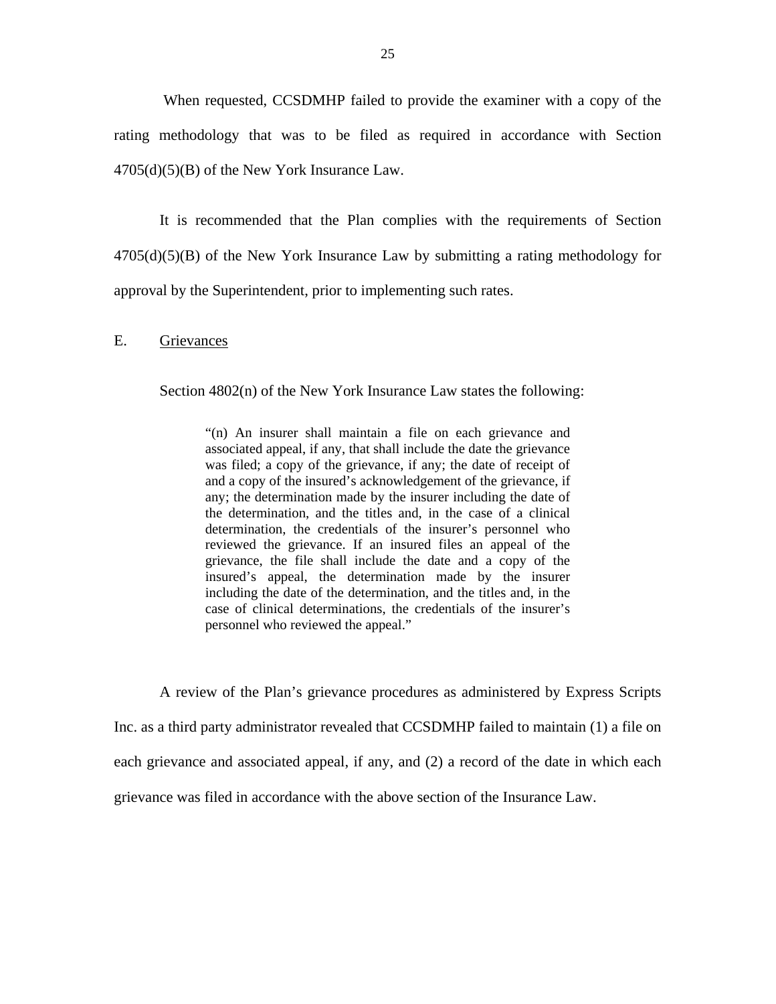When requested, CCSDMHP failed to provide the examiner with a copy of the rating methodology that was to be filed as required in accordance with Section  $4705(d)(5)(B)$  of the New York Insurance Law.

It is recommended that the Plan complies with the requirements of Section  $4705(d)(5)(B)$  of the New York Insurance Law by submitting a rating methodology for approval by the Superintendent, prior to implementing such rates.

#### E. Grievances

Section 4802(n) of the New York Insurance Law states the following:

"(n) An insurer shall maintain a file on each grievance and associated appeal, if any, that shall include the date the grievance was filed; a copy of the grievance, if any; the date of receipt of and a copy of the insured's acknowledgement of the grievance, if any; the determination made by the insurer including the date of the determination, and the titles and, in the case of a clinical determination, the credentials of the insurer's personnel who reviewed the grievance. If an insured files an appeal of the grievance, the file shall include the date and a copy of the insured's appeal, the determination made by the insurer including the date of the determination, and the titles and, in the case of clinical determinations, the credentials of the insurer's personnel who reviewed the appeal."

A review of the Plan's grievance procedures as administered by Express Scripts Inc. as a third party administrator revealed that CCSDMHP failed to maintain (1) a file on each grievance and associated appeal, if any, and (2) a record of the date in which each grievance was filed in accordance with the above section of the Insurance Law.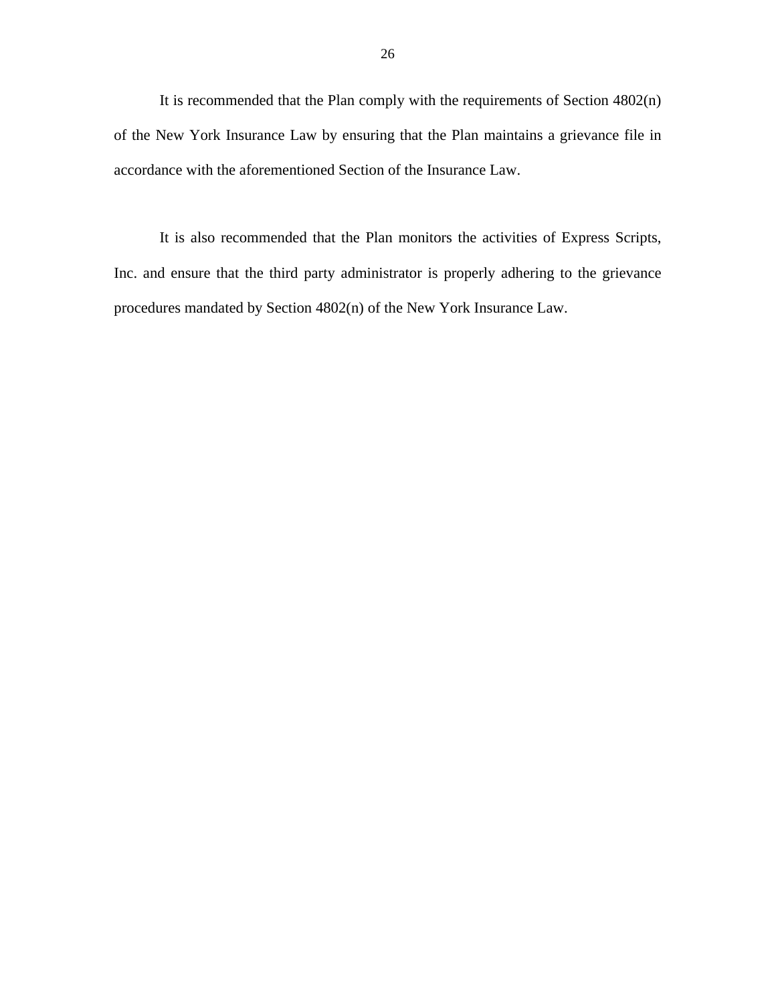It is recommended that the Plan comply with the requirements of Section 4802(n) of the New York Insurance Law by ensuring that the Plan maintains a grievance file in accordance with the aforementioned Section of the Insurance Law.

It is also recommended that the Plan monitors the activities of Express Scripts, Inc. and ensure that the third party administrator is properly adhering to the grievance procedures mandated by Section 4802(n) of the New York Insurance Law.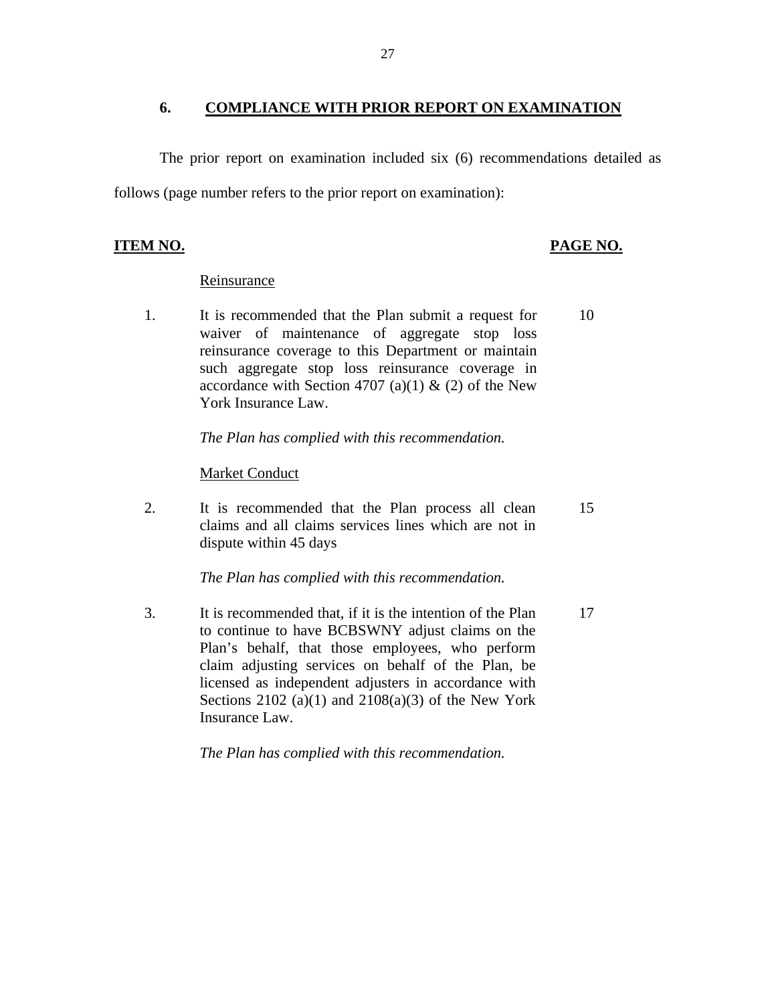#### **6. COMPLIANCE WITH PRIOR REPORT ON EXAMINATION**

The prior report on examination included six (6) recommendations detailed as follows (page number refers to the prior report on examination):

### **ITEM NO. PAGE NO.**

#### Reinsurance

1. It is recommended that the Plan submit a request for waiver of maintenance of aggregate stop loss reinsurance coverage to this Department or maintain such aggregate stop loss reinsurance coverage in accordance with Section 4707 (a)(1)  $\&$  (2) of the New York Insurance Law. 10

*The Plan has complied with this recommendation.* 

#### Market Conduct

2. It is recommended that the Plan process all clean claims and all claims services lines which are not in dispute within 45 days 15

*The Plan has complied with this recommendation.* 

3. It is recommended that, if it is the intention of the Plan to continue to have BCBSWNY adjust claims on the Plan's behalf, that those employees, who perform claim adjusting services on behalf of the Plan, be licensed as independent adjusters in accordance with Sections  $2102$  (a)(1) and  $2108(a)(3)$  of the New York Insurance Law. 17

*The Plan has complied with this recommendation.*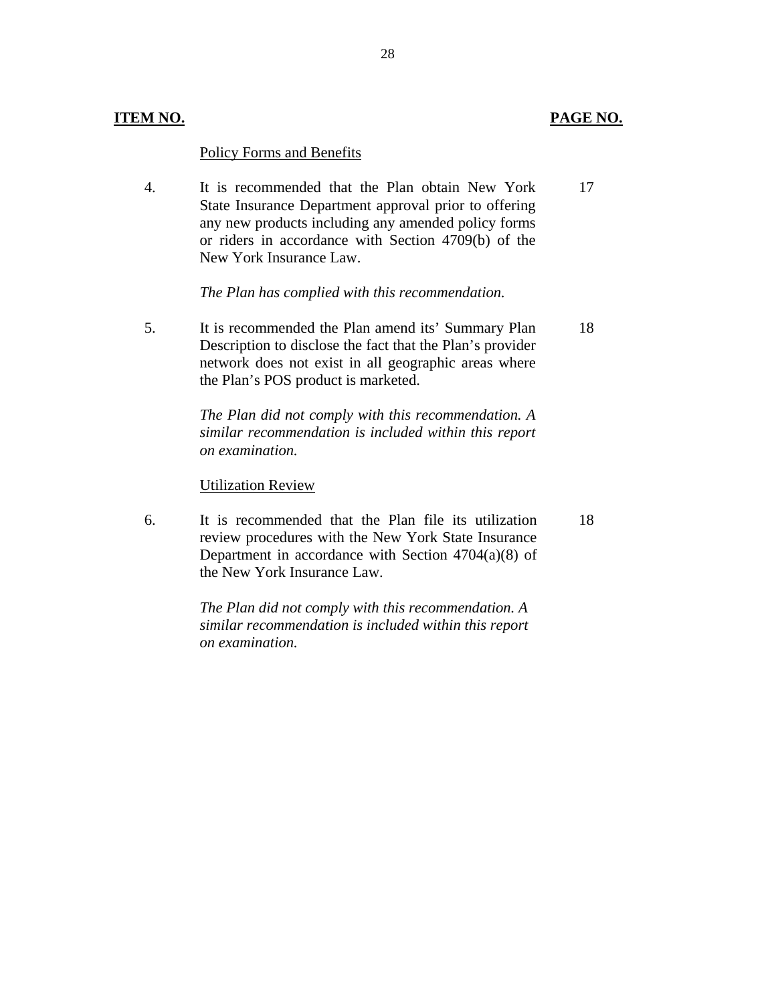### **ITEM NO. PAGE NO.**

18

#### Policy Forms and Benefits

4. It is recommended that the Plan obtain New York State Insurance Department approval prior to offering any new products including any amended policy forms or riders in accordance with Section 4709(b) of the New York Insurance Law. 17

*The Plan has complied with this recommendation.* 

5. It is recommended the Plan amend its' Summary Plan Description to disclose the fact that the Plan's provider network does not exist in all geographic areas where the Plan's POS product is marketed. 18

> *The Plan did not comply with this recommendation. A similar recommendation is included within this report on examination.*

#### Utilization Review

6. It is recommended that the Plan file its utilization review procedures with the New York State Insurance Department in accordance with Section 4704(a)(8) of the New York Insurance Law.

> *The Plan did not comply with this recommendation. A similar recommendation is included within this report on examination.*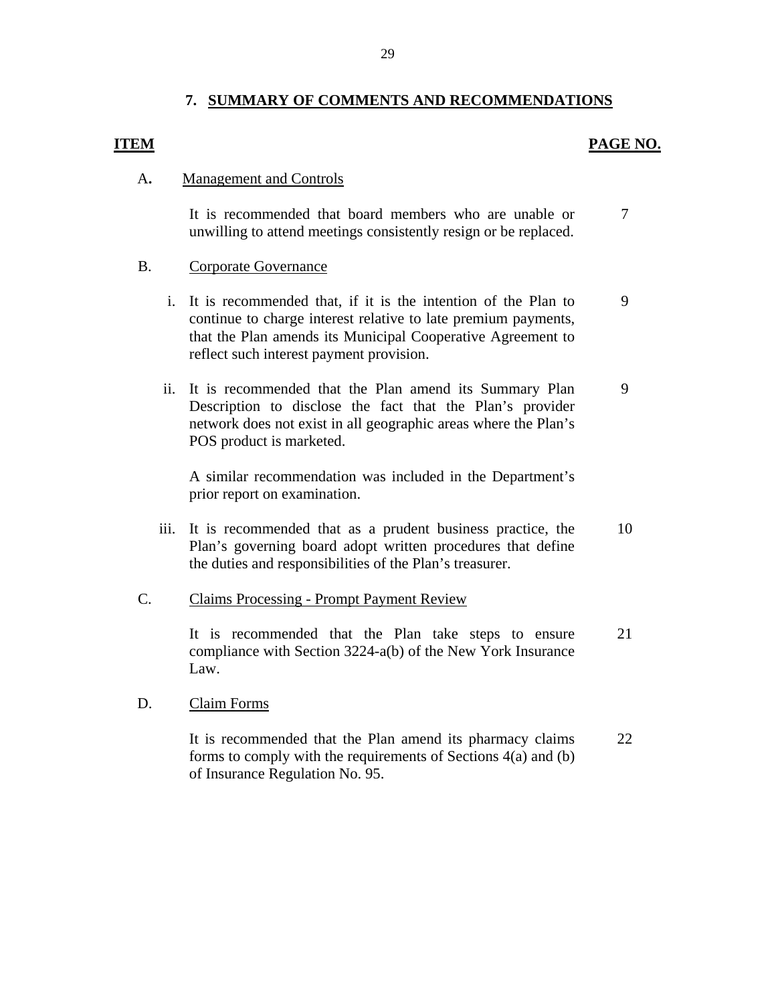### **7. SUMMARY OF COMMENTS AND RECOMMENDATIONS**

# **ITEM PAGE NO.**

#### A**.** Management and Controls

It is recommended that board members who are unable or unwilling to attend meetings consistently resign or be replaced. 7

### B. Corporate Governance

- i. It is recommended that, if it is the intention of the Plan to continue to charge interest relative to late premium payments, that the Plan amends its Municipal Cooperative Agreement to reflect such interest payment provision. 9
- ii. It is recommended that the Plan amend its Summary Plan Description to disclose the fact that the Plan's provider network does not exist in all geographic areas where the Plan's POS product is marketed. 9

A similar recommendation was included in the Department's prior report on examination.

iii. It is recommended that as a prudent business practice, the Plan's governing board adopt written procedures that define the duties and responsibilities of the Plan's treasurer. 10

### C. Claims Processing - Prompt Payment Review

It is recommended that the Plan take steps to ensure compliance with Section 3224-a(b) of the New York Insurance Law. 21

### D. Claim Forms

It is recommended that the Plan amend its pharmacy claims forms to comply with the requirements of Sections 4(a) and (b) of Insurance Regulation No. 95. 22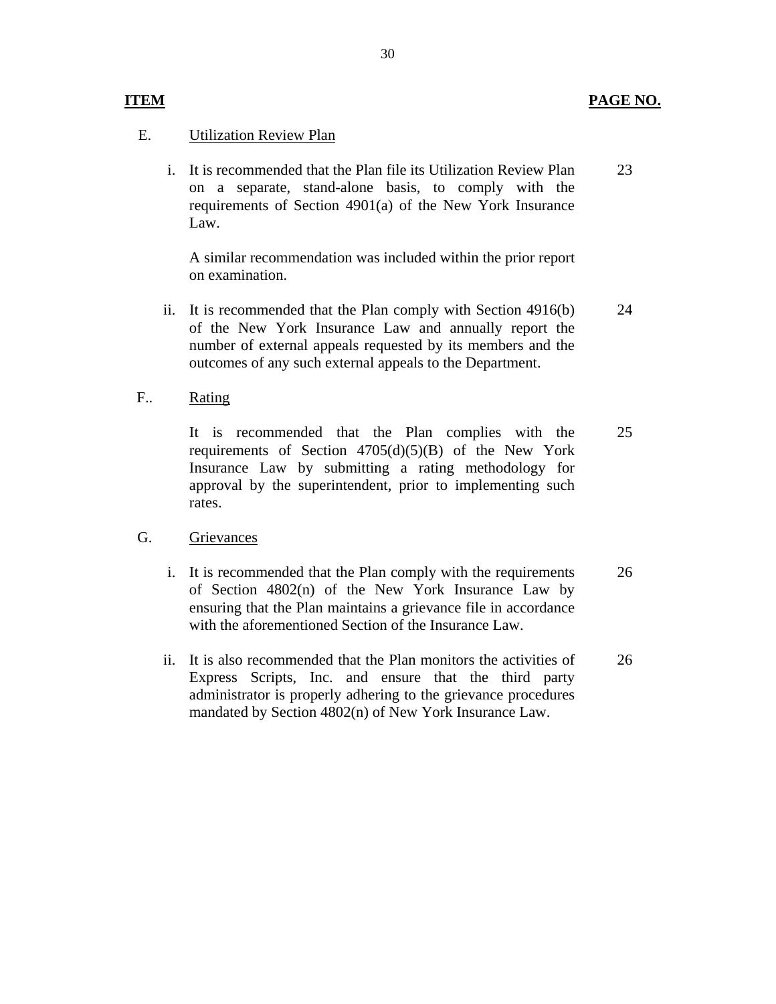#### **ITEM PAGE NO.**

#### E. Utilization Review Plan

i. It is recommended that the Plan file its Utilization Review Plan on a separate, stand-alone basis, to comply with the requirements of Section 4901(a) of the New York Insurance Law. 23

A similar recommendation was included within the prior report on examination.

- ii. It is recommended that the Plan comply with Section 4916(b) of the New York Insurance Law and annually report the number of external appeals requested by its members and the outcomes of any such external appeals to the Department. 24
- F.. Rating

It is recommended that the Plan complies with the requirements of Section  $4705(d)(5)(B)$  of the New York Insurance Law by submitting a rating methodology for approval by the superintendent, prior to implementing such rates. 25

#### G. Grievances

- i. It is recommended that the Plan comply with the requirements of Section 4802(n) of the New York Insurance Law by ensuring that the Plan maintains a grievance file in accordance with the aforementioned Section of the Insurance Law. 26
- ii. It is also recommended that the Plan monitors the activities of Express Scripts, Inc. and ensure that the third party administrator is properly adhering to the grievance procedures mandated by Section 4802(n) of New York Insurance Law. 26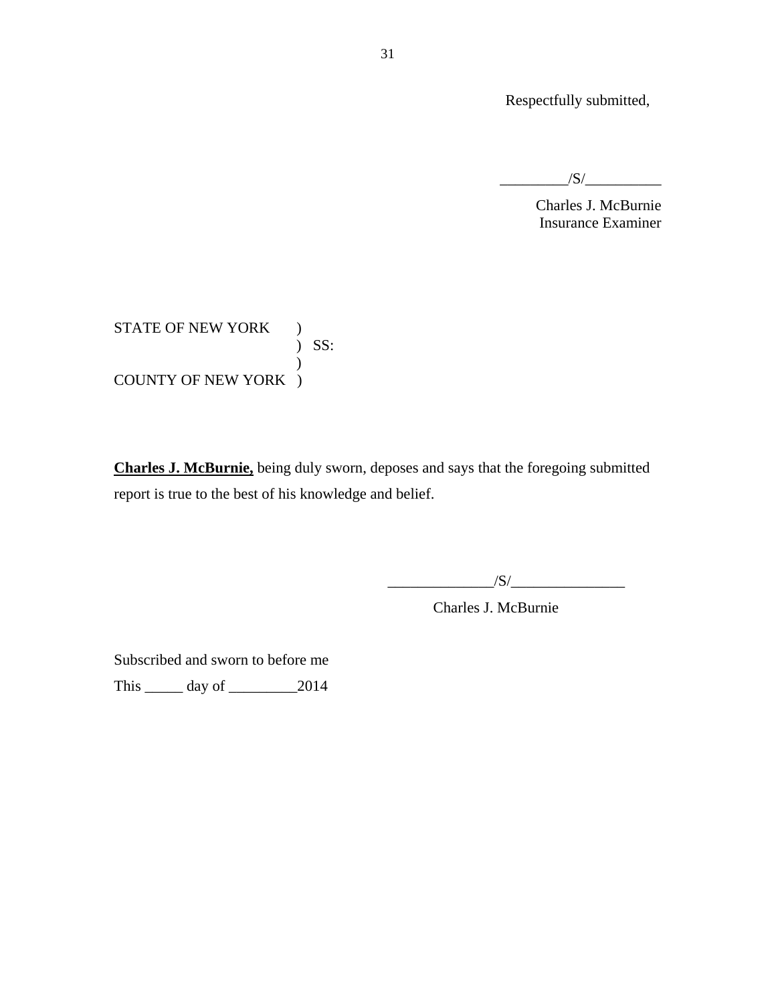Respectfully submitted,

 $/S/$ 

Charles J. McBurnie Insurance Examiner

 ) SS: STATE OF NEW YORK ) ) COUNTY OF NEW YORK )

**Charles J. McBurnie,** being duly sworn, deposes and says that the foregoing submitted report is true to the best of his knowledge and belief.

 $\frac{1}{\sqrt{S}}$ 

Charles J. McBurnie

Subscribed and sworn to before me

This \_\_\_\_\_ day of \_\_\_\_\_\_\_\_\_2014